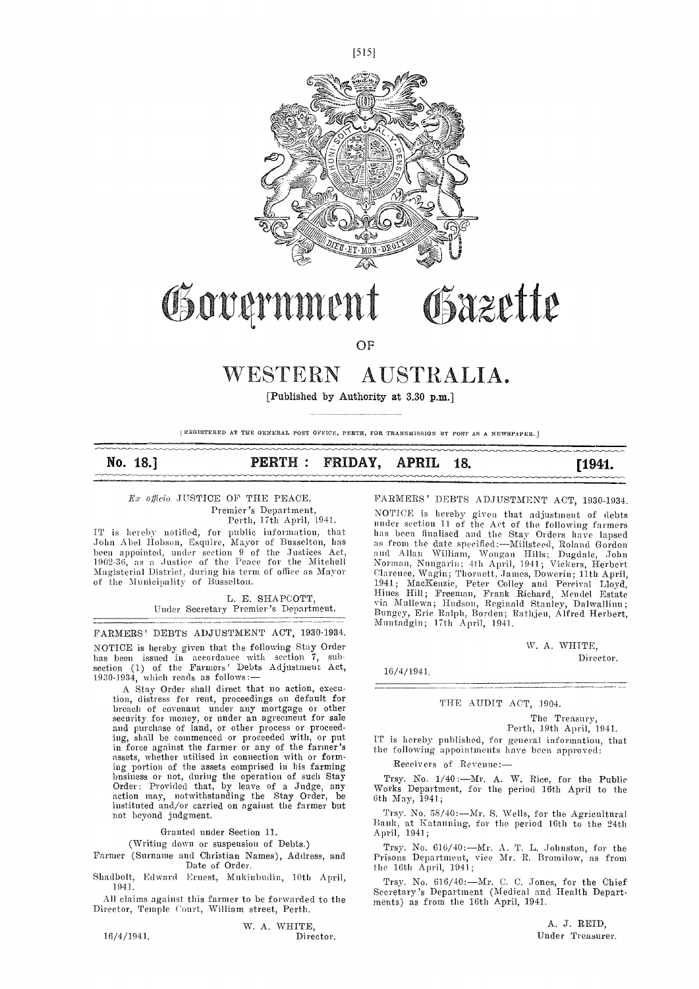

# Government Gazette

**OF** 

# WESTERN AUSTRALIA.

[Published by Authority at 3.30 p.m.]

[REGISTERED AT THE GENERAL POST OFFICE, PERTH, FOR TRANSMISSION BY POST AS A NEWSPAPER.]

# No. 18.] **PERTH: FRIDAY, APRIL 18.** [1941.

 $Ex$  officio JUSTICE OF THE PEACE. Premier's Department, Perth, 17th April, 1941.

IT is hereby notified, for public information, that John Abel Hobson, Esquire, Mayor of Busselton, has as been appointed, under section 9 of the Justices Act,<br>1902-36, as a Justice of the Peace for the Mitchell Magisterial District, during his term of office as Mayor of the Municipality of Busselton.

> L. E. SHAPCOTT, Under Secretary Premier's Department.

FARMERS' DEBTS ADJUSTMENT ACT, 1930-1934. NOTICE is hereby given that the following Stay Order has been issued in accordance with section 7, subsection (1) of the Farmers' Debts Adjustment Act, 1930-1934, which reads as follows:— $\qquad \qquad \, \, \cdot$ 

A Stay Order shall direct that no action, execution, distress for rent, proceedings on default for breach of covenant under any mortgage or other security for money, or under an agreement for sale and purchase of land, or other process or proceed-<br>ing, shall be commenced or proceeded with, or put ing, shall be commenced or proceeded with, or put<br>in force against the farmer or any of the farmer's the<br>assets, whether utilised in connection with or forming portion of the assets comprised in his farming business or not, during the operation of such Stay Trs Trs action may, notwithstanding the Stay Order, be  $\frac{10}{6}$ instituted and/or carried on against the farmer but not beyond judgment.

Granted under Section 11.

(Writing down or suspension of Debts.)

Farmer (Surname and Christian Names), Address, and Date of Order.

Shadbolt, Edward Ernest, Mukinbudin, 10th April, 1941.

All claims against this farmer to be forwarded to the Director, Temple Court, William street, Perth.

 $16/4/1941.$ 

W. A. WHITE,<br>Director.

FARMERS' DEBTS ADJUSTMENT ACT, 1930-1934.

NOTICE is hereby given that adjustment of debts under section II of the Act of the following farmers has been finalised and the Stay Orders have lapsed as from the date specified:—Millsteed, Roland Gordon<br>and Allan William, Wongan Hills; Dugdale, John<br>Norman, Nungarin; 4th April, 1941; Vickers, Herbert Clarence, Wagin; Thornett, James, Dowerin; 11th April,<br>1941; MacKenzie, Peter Colley and Percival Lloyd,<br>Hines Hill; Freeman, Frank Richard, Mendel Estate via Mullewa; Hudson, Reginald Stanley, Dalwallinu;<br>Bungey, Erie Ralph, Borden; Rathjen, Alfred Herbert,<br>Muntadgin; 17th April, 1941.

\V. A. WHTTE,

Director.

16/4/1941.

#### THE AUDIT ACT, 1904.

The Treasury, Perth, 19th April, 1941.

IT is hereby published, for general information, that the following appointments have been approved:

Receivers of Revenue:-

Trsy. No. 1/40 :- Mr. A. W. Rice, for the Public Works Department, for the period 16th April to the 6th May, 1941

Trsy. No. 58/40: $-Mr$ . S. Wells, for the Agricultural Bank, at Katauning, for the period 16th to the 24th April, 1941;

Trsy. No. 616/40:---Mr. A. T. L. Johnston, for the Prisons Department, vice Mr. R. Bromilow, as from the  $16th$  April,  $1941$ ;

Trsy. No. 616/40:Mi. U. C. Jones, for the Chief Secretary's Department (Medical and health Depart. meets) as from the 16th April, 1941.

A. J. REID, Under Treasurer.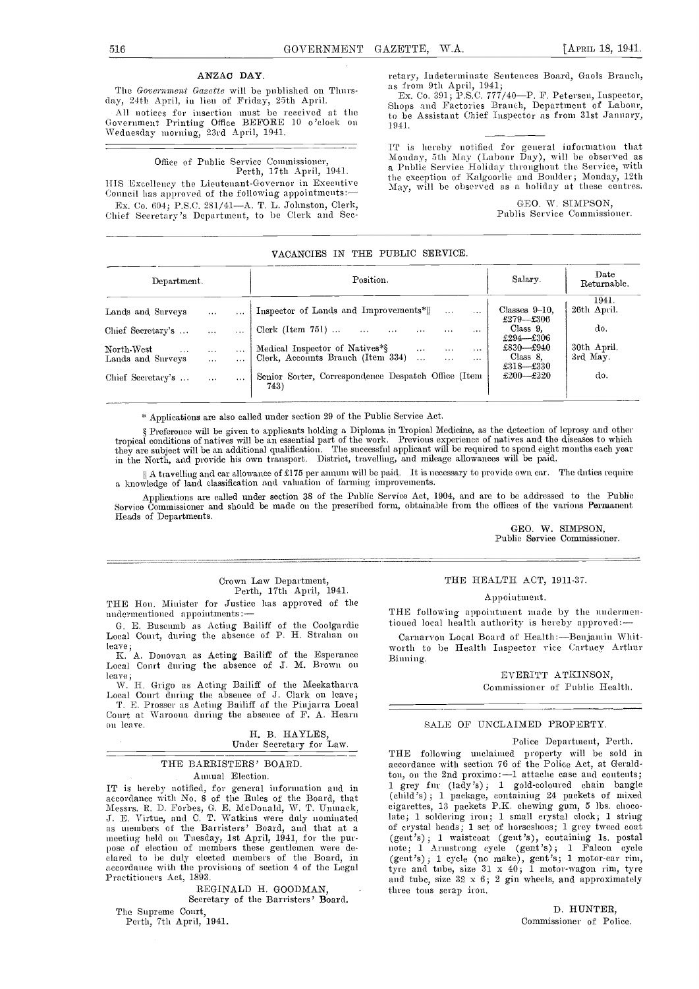#### ANZAC DAY.

The Government Gazette will be published on Thurs-<br>day, 24th April, in lieu of Friday, 25th April. (a) Ex. Co. 391; P.S.C. 777,<br>clong and Feathering Branch

All notices for insertion must be received at the Government Printing Office BEFORE 10 o'clock on Wednesday morning, 23rd April, 1941.

Office of Public Service Commissioner,<br>Perth, 17th April, 1941.

Council has approved of the following appointments: $-$ Ex. Co. 604; P.S.C. 281/41-A. T. L. Johnston, Clerk, Chief Secretary's Department, to be Clerk and Sec-

retary, Indeterminate Sentences Board, Gaols Branch, as from 9th April, 1941;<br>Ex. Co. 391; P.S.C. 777/40—P. F. Petersen, Inspector,<br>Shops and Factories Branch, Department of Labour,<br>to be Assistant Chief Inspector as from 1941.

Ferth, 17th April, 1941.<br>HIS Excellency the Lieutenant-Governor in Executive May will be observed as a holiday at these centres. IT is hereby notified for general information that Monday, 5th May (Labour Day), will be observed as a Public Service Holiday throughout the Service, with May, will be observed as a holiday at these centres.

> GEO. W. SIMPSON, Publis Service Commissioner.

#### VACANCIES IN THE PUBLIC SERVICE.

| Department.                                                                                                                                                                                                                                         | Position.                                                                                                                                                                                                                                                                                                                                                            | Salary.                                                                                                           | Date<br>Returnable.                                           |  |
|-----------------------------------------------------------------------------------------------------------------------------------------------------------------------------------------------------------------------------------------------------|----------------------------------------------------------------------------------------------------------------------------------------------------------------------------------------------------------------------------------------------------------------------------------------------------------------------------------------------------------------------|-------------------------------------------------------------------------------------------------------------------|---------------------------------------------------------------|--|
| Lands and Surveys<br>$\cdots$<br>$\cdots$<br>Chief Secretary's<br>$\cdots$<br>$\cdots$<br>$\operatorname{North-West}$<br>$\cdots$<br>$\cdots$<br>$\cdots$<br>Lands and Surveys<br>$\cdots$<br>$\cdots$<br>Chief Secretary's<br>$\cdots$<br>$\cdots$ | Inspector of Lands and Improvements*  <br>$\cdots$<br>$\cdots$<br>Clerk (Item $751$ )<br>$\sim$ $\sim$<br>$\cdots$<br>$\cdots$<br>$\cdots$<br>$\cdots$<br>Medical Inspector of Natives*§<br>$\cdots$<br>$\cdots$<br>$\cdots$<br>Clerk, Accounts Branch (Item 334)<br>$\cdots$<br>$\cdots$<br>$\cdots$<br>Senior Sorter, Correspondence Despatch Office (Item<br>743) | Classes $9-10$ .<br>£279—£306<br>Class 9.<br>$£294 - £306$<br>£830—£940<br>Class 8.<br>$£318 - £330$<br>£200-£220 | 1941.<br>26th April.<br>do.<br>30th April.<br>3rd May.<br>do. |  |

\* Applications are also called under section 29 of the Public Service Act.

§ Preference will be given to applicants holding a Diploma in Tropical Medicine, as the detection of leprosy and other<br>tropical conditions of natives will be an essential part of the work. Previous experience of natives an they are subject will be an additional qualification. The successful applicant will be required to spend eight months each year<br>in the North, and provide his own transport. District, travelling, and mileage allowances

I) A travelling and car allowance of £175 per annum will be paid. It is necessary to provide own car. The duties require a knowledge of land classification and valuation of farming improvements.

Applications are called under section 38 of the Public Service Act, 1904, and are to be addressed to the Public<br>Service Commissioner and should be made ou the prescribed form, obtainable from the offices of the various Per Heads of Departments.

> GEO. W. SIMPSON, Public Service Commissioner.

# Crown Law Department, Perth, 17th April, 1941.

THE Hon. Minister for Justice has approved of the nndermentioned appointments:-

G. E. Buscumb as Acting Bailiff of the Coolgardie ioned local health authority is hereby approved:<br>
Local Court, during the absence of P. H. Strahan on Carnarvou Local Board of Health:—Benjamin Whit-<br>
leave;

I. A. Donovan as Acting Bailiff of the Esperance Local Court during the absence of J. M. Brown on leave;

leave;<br>- W. H. Grigo as Acting Bailiff of the Meekatharra<br>Local Court during the absence of J. Clark on leave; '1'. E. Prosser as Acting Bailiff of the Pinjarra Local Court at Waroona during the absence of F. A. Hearn

on leave. <br> H. B. HAYLES, Under Secretary for Law.

#### THE BARRISTERS' BOARD. Annual Election.

IT is hereby notified, for general information and in accordance with No. 8 of the Rules of the Board, that Messrs. R. D. Forbes, G. E. McDonald, W. T. Unmack, J. E. Virtue, and C. T. Watkins were duly nominated late; as members of the Barristers' Board, and that at a meeting held on Tuesday, 1st April, 1941, for the purpose of election of members these gentlemen were de-<br>clared to be duly elected members of the Board, in accordance with the provisions of section 4 of the Legal Practitioners Act, 1893.

REGINALD H. GOODMAN,

Secretary of the Barristers' Board.

The Supreme Court, Perth, 7th April, 1941.

#### THE HEALTH ACT, 1911-37.

#### Appointment.

THE following appointment made by the nudermentioned local health authority is hereby approved:-

worth to be Health Inspector vice Cartney Arthur Binning.

> EVERITT ATKINSON, Commissioner of Public Health.

#### SALE OF UNCLAIMED PROPERTY.

#### Police Department, Perth.

TIlE following unclaimed property will be sold in accordance with section 76 of the Police Act, at Geraldton, on the 2nd proximo :-1 attache case and contents;<br>1 grey fur (lady's); 1 gold-coloured chain bangle (child's) ; 1 package, containing 24 packets of mixed cigarettes, 13 packets P.K. chewing gum, 5 lbs. cliocolate; 1 soldering iron; 1 small crystal clock; 1 string of crystal beads; 1 set of horseshoes; 1 grey tweed coat (gent's) ; 1 waistcoat (gent's), containing is. postal note; 1 Armstrong cycle (gent's) ; <sup>1</sup> Falcon cycle (gent's); 1 cycle (no make), gent's; 1 motor-car rim, tyre and tube, size  $31 \times 40$ ; 1 motor-wagon rim, tyre and tube, size 32 x 6; 2 gin wheels, and approximately three tons scrap iron.

> D. HUNTER, Commissioner of Police.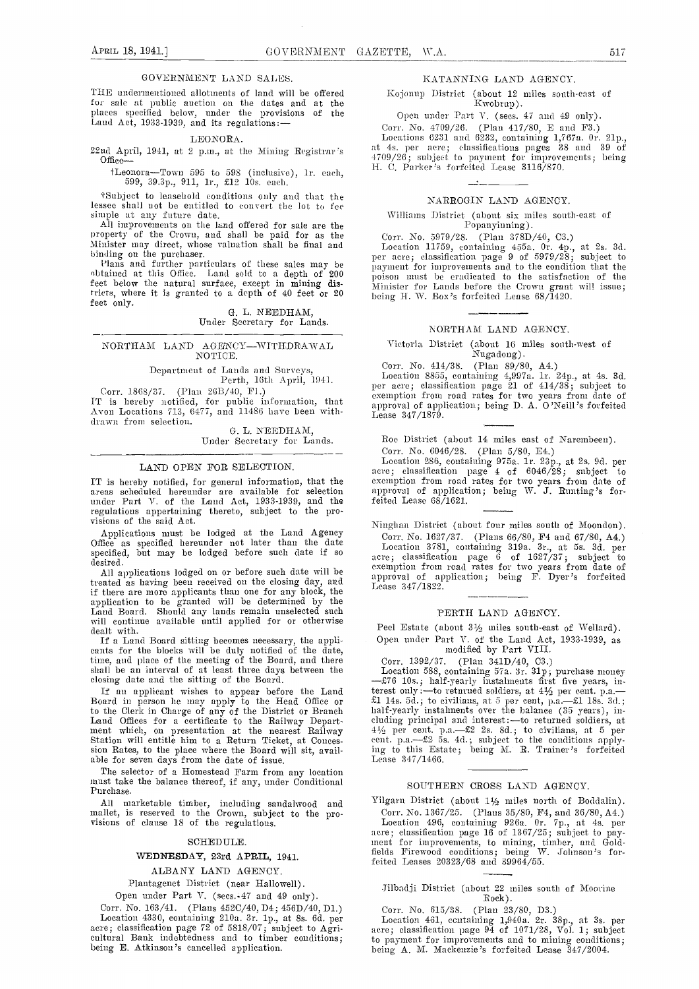THE undermentioned allotments of land will be offered for sale at public auction on the dates and at the<br>places specified below, under the provisions of the Land Act, 1933-1939, and its regulations:-

GOVERNMENT LAND SALES.

#### LEONORA.

22nd April, 1941, at 2 p.m., at the Mining Registrar's  $\begin{array}{c} \text{at 4s. per acre; classification pages 31} \\ \text{Office--} \\ \text{If, current 30, 11, 22, 33, 47, 48, 48, 47, 48, 47, 48, 47, 48, 47, 48, 47, 48, 47, 48, 47, 48, 47, 48, 47, 48, 47, 48, 47, 48, 47, 48, 47$ 

 $t$ Leonora-Town 595 to 598 (inclusive), lr. each, 599, 39.3p., 911, lr., £12 10s. each.

tSnbject to leasehold conditions only and that the lessee shall not be entitled to convert the lot to fee simple at any future date.

All improvements on tie land offered for sale are the property of the Crown, and shall be paid for as the property of the Crown, and shall be paid for as the Minister may direct, whose valuation shall be final and becation

feet below the natural surface, except in mining districts, where it is granted to a depth of 40 feet or 20  $\frac{1}{2}$  being feet only. G. L. NEEDHAM, Under Secretary for Lands.

NORTHAM LAND AGENCY-WITHDRAWAL NOTICE.

Department of Lands and Surveys, Perth, 16th April, 1941.

Corr. 1868/37. (Plan 2013/40, Fl.) IT is hereby notified, for public information, that Avon Locations 713, 6477, and 11486 have been withdrawn from selection.

C. L. NEEDHAM, Under Secretary for Lands.

#### LAND OPEN FOR SELECTION.

IT is hereby notified, for general information, that the areas scheduled hereunder are available for selection under Part V. of the Land Act, 1933-1939, and the feite regulations appertaining thereto, subject to the pro-<br>visions of the said Act.

Applications must be lodged at the Land Agency Office as specified hereunder not later than the date  $\frac{0}{10}$ specified, but may be lodged before such date if so  $\frac{ac}{ac}$ <br>desired.

All applications lodged on or before such date will be treated as having been received on the closing day, and if there are more applicants than one for any block, the Lead board. Should any lands remain such that is been the distributed by the Land Board. Should any lands remain unselected such will continue available until applied for or otherwise dealt with.

If a Land Board sitting becomes necessary, the appli- cants for the blocks will be duly notified of the date, time, and place of the meeting of tile Board, and there shall be an interval of at least three days between the L

closing date and the sitting of the Board. If an applicant wishes to appear before the Land Board in person he may apply to the Head Office or  $\qquad$  El 14s. 5d.; to civilians, at 5 per cent, p.a.—fil 18s. 3d.; to the Clerk in Charge of any of the District or Branch Land Offices for a certificate to the Railway Depart-<br>ment which, on presentation at the nearest Railway<br>Station will entitle him to a Return Ticket, at Concession Rates, to the place where the Board will sit, avail- able for seven days from the date of issue.

The selector of a Homestead Farm from any location must take the balance thereof, if any, under Conditional Purchase.

All niarketable timber, including sandalwood and Yilg<br>mallet, is reserved to the Crown, subject to the pro-<br>visions of clause 18 of the regulations.

#### SCHEDULE.

#### WEDNESDAY, 23rd APRIL, 1941.

#### ALBANY LAND AGENCY.

Plantagenet District (near Hallowell).

Open under Part V. (secs. 47 and 49 only).

Corr. No. 163/41. (Plans 452C/40, D4; 456D/40, D1.) Location 4330, containing 210a. 3r. 1p., at 8s. 6d. per acre; classification page 72 of 5818/07; subject to Agricultural Bank indebtedness and to timber conditions;<br>being E. Atkinson's cancelled application.

#### KATANNING LAND AGENCY.

Kojonup District (about 12 miles south-east of Kwobrup).

Open under Part V. (sees. 47 and 49 only). Corr. No. 4709/26. (Plan 417/80, E and F3.)<br>Locations 6231 and 6232, containing 1,767a. 0r. 21p.,

Locations 6231 and 6232, containing 1,767a. Or. 21p., at 4s. per acre; classifications pages 38 and 39 of 4709/26; subject to payment for improvements; being H. C. Parker's forfeited Lease 3116/870.

#### NARROGIN LAND AGENCY.

\Vihhiimmmis District (about six miles south-east. of Popanyimining).

binding of the particulars of these sales may be obtained and the purchaser. Plans and to the condition that the obtained at this Office. Land sold to a depth of 200 poison must be evaluated to the satisfaction of the Location 11759, containing 455a. Or. 4p., at 2s. 3d. per acre; classification page 9 of 5979/28; subject to payment for imimprovenments and to the condition that tile poison nust he eradicated to time satisfaction of time Minister for Lands before the Crown grant will issue; being H. W. Box's forfeited Lease 68/1420.

#### NORTHAM LAND AGENCY.

Victoria District (about 16 miles south-west of Nugadong).<br>(Plan 89/80, A4.)

Con'. No. 414/38. (Plan 89/80, A4.)

Location 8855, containing 4,997a. 11. 24p., at 4s. 3d. per acre; classification page 21 of 414/38; subject to exemption from road rates for two years from date of approval of application; being D. A. O'Neill's forfeited Lease 347/1879.

Roe District (about 14 miles east of Narembeen).<br>Corr. No. 6046/28. (Plan 5/80, E4.)

Corr. No. 6046/28. (Plan 5/80, E4.) Location 286, containing 975a. ir. 23p., at 2s. Pd. per acre; classification page  $4$  of  $6046/28$ ; subject to exemption from road rates for two years from date of approval of application; being W. J. Runting 's forfeited Lease 68/1621.

Ninghan District (about four miles south of Moondon).

Corr. No. 1627/37. (Plans 66/80, F4 and 67/80, A4.)<br>Location 3781, containing 319a. 3r., at 5s. 3d. per acre; classification page  $6$  of 1627/37; subject to exemption from read rates for two years from date of approval of application; being F. Dyer's forfeited Lease 347/1822.

#### PERTH LAND AGENCY.

Peel Estate (about  $3\frac{1}{2}$  miles south-east of Wellard).

Open under Part V. of the Land Act, 1933-1939, as modified by Part VIII.

Corr. 1.392/37. (Plan 341D/40, C3.)

Location 588, containing 57a. 3r. 31p; purchase money --- £76 10s.; half-yearly instalments first five years, interest only:—to returned soldiers, at  $4\frac{1}{2}$  per cent. p.a.—<br>£1 14s. 5d.; to civilians, at 5 per cent, p.a.—£1 18s. 3d.;<br>half-yearly instalments over the balance (35 years), in-<br>cluding principal and interest:—to retu ing to this Estate; being M. R. Trainer's forfeited Lease 347/1466.

#### SOUTHERN CROSS LAND AGENCY.

Yilgarn District (about  $1\frac{1}{2}$  miles north of Boddalin). Corr. No. 1367/25. (Plans 35/80, F4, and 36/80, A4.) Location 496, containing 926a. Or. '7p., at 4s. pci' acre; classification page 16 of 1367/25; subject to pay-<br>ment for improvements, to mining, timber, and Goldfields Firewood conditions; being W. Johnson's forfeited Leases  $20323/68$  and  $39964/55$ .

Jilbadji District (about 22 miles south of Moorine Rock).

Corr. No. 615/38. (Plan 23/80, D3.)

Location 461, containing 1,940a. 2r. 38p., at 3s. per acre; classification page 94 of 1071/2S, Vol. 1; subject to payment for improvements and to mining conditions; being A. M. Mackenzie's forfeited Lease 347/2004.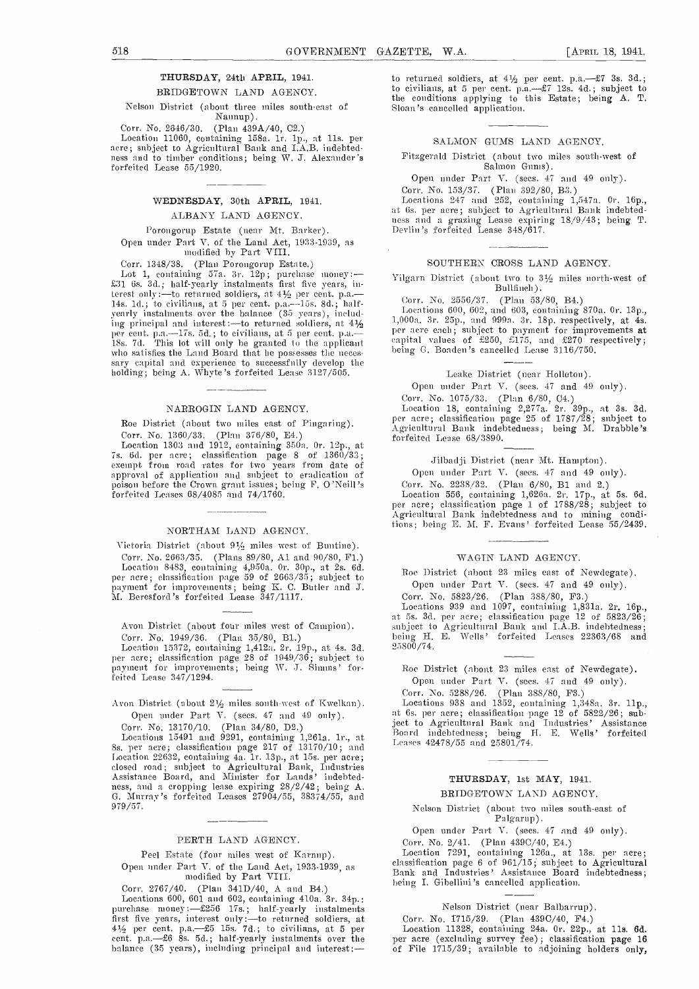### THURSDAY, 24th APRIL, 1941.

BRIDGETOWN LAND AGENCY.

Nelson District (about three miles south-east of'

Nannup).<br>(Plan 439A/40, C2.)

Corr. No. 2646/30. (Plan 439A/40, C2.)<br>Location 11060, containing 158a. 1r. 1p., at 11s. per<br>acre; subject to Agricultural Bank and I.A.B. indebtedfor the conditions; being W. J. Alexander's forfeited Lease 55/1920.

#### WEDNESDAY, 30th APRIL, 1941.

#### ALBANY LAND AGENCY.

Porongorup Estate (near Mt. Barker). Open under Part V. of the Land Act, 1933-1939, as modified by Part Viii.

Corr. 1348/38. (Plan Porongorup Estate.)<br>Lot 1, containing 57a. 3r. 12p; purchase money:— £31 6s. 3d.; half-yearly instalments first five years, in-<br>terest only :—to returned soldiers, at  $4\frac{1}{2}$  per cent. p.a.— 14s. 1d.; to civilians, at 5 per cent. p.a.—15s. 8d.; half-<br>yearly instalments over the balance (35 years), including principal and interest :—to returned soldiers, at  $4\frac{1}{2}$   $\frac{1,00}{2}$ per cent. p.a.—17s. 5d.; to civilians, at 5 per cent. p.a.—  $p$ ISs. 7d. This lot will only be granted to the applicant who satisfies the Land Board that he possesses the neces-<br>sary capital and experience to successfully develop the holding; being A. Whyte's forfeited Lease 3127/505.

#### NARROGIN LAND AGENCY.

Roe District (about two miles east of Pingaring). Corr. No. 1360/33. (Plan 376/80, E4.)

Location 1303 and 1912, containing 350a. 0r. 12p., at 7s. 6d. per acre; classification page 8 of 1360/33;<br>7s. 6d. per acre; classification page 8 of 1360/33;<br>exempt from road rates for two years from date of approval of application and subject to eradication of poison before the Crown grant issues; being F. O'Neill's forfeited Leases 68/4085 and 74/1760.

#### NORTHAM LAND AGENCY.

Victoria District (about  $9\frac{1}{2}$  miles west of Buntine). Corr. No. 2663/35. (Plan 89/80, A1 and 90/80, F1.)<br>
Location 8483, containing 4,950a. 0r. 30p., at 2s. 6d.<br>
per acre; classification page 59 of 2663/35; subject to<br>
payment for improvements; being K. C. Butler and J.<br>
M. B

Avon District (about four miles west of Campion). Corr. No. 1949/36. (Plan 35/80, B1.)

Location 15372, containing 1,412a, 2r. 19p., at 4s. 3d. 25800<br>per acre; classification page 28 of 1949/36; subject to payment for improvements; being W. J. Simms' forfeited Lease 347/1294.

Avon District (about  $2\frac{1}{2}$  miles south-west of Kwelkan). Open under Part V. (sees. 47 and 49 only).

Corr. No. 13170/10. (Plan 34/80, D2.)

Locations 15491 and 9291, containing 1,261a. 1r., at 8s, per acre; classification page 217 of 13170/10; and<br>Location 22632, containing 4a. 1r. 13p., at 15s. per acre;<br>closed road; subject to Agricultural Bank, Industries<br>Assistance Board, and Minister for Lands' indebtedness, and a cropping lease expiring 28/2/42; being A. G. Mitt-ray's forfeited Leases 27904/55, 38374/55, and 979/57.

#### PERTH LAND AGENCY.

Peel Estate (four miles west of Karnup), Open under Part V. of the Land Act, 1933-1939, as modified by Part VIII.

Corr. 2767/40. (Plan 341D/40, A and B4.)

Locations 600, 601 and 602, containing 410a. 3r. 34p. purchase money :--\$256 17s.; half-yearly instalments first five years, interest only: -- to returned soldiers, at Co (41/2 per cent. p.a. -- £5 15s. 7d.; to civilians, at 5 per Localities. Let us at 5 per let the cent. p.a. -- £6 8s. 5d.; half-yearly instalments over the per

to returned soldiers, at  $4\frac{1}{2}$  per cent. p.a.- $\frac{27}{3}$  3s. 3d.; to civilians, at 5 per cent.  $p.a. -x7$  12s. 4d.; subject to the conditions applying to this Estate; being A. T. Sloan's cancelled application.

#### SALMON GUMS LAND AGENCY.

Fitzgerald District (about two miles south-west of Salmon Gums).

Open under Part V. (secs. 47 and 49 only).

Corr. No. 153/37. (Plan 392/80, B3.)<br>Locations 247 and 252, containing 1,547a. Or. 16p.,<br>at 6s. per acre; subject to Agricultural Bank indebtedat Os. per- acres; subject to Agricultural Bank indebted-<br>ness and a grazing Lease expiring 18/9/43; being T.<br>Devlin's forfeited Lease 348/617.

#### SOUTHERN CROSS LAND AGENCY.

Yilgarn District (about two to  $3\frac{1}{2}$  miles north-west of Bullfinch).

Corr. No. 2556/37. (Plan 53/80, B4.)<br>Locations 600, 602, and 603, containing 870a. 0r. 13p., 1,000a. 3r. 25p., and 999a. 3r. 18p. respectively, at 4s. per-acre each; subject to payment for improvements at capital values of £250, £175, and  $\pm 270$  respectively; heing G. Boaden's cancelled Lease 3116/750.

Leake District (near Holleton).

Open under Part V. (sees. 47 and 49 only). Corr. No. 1075/33. (Plun 6/80, CI.)

Location 18, containing  $2,277a.$  2r. 39p., at 3s. 3d. per acre; classification page 25 of 1787/28; subject to<br>Agricultural Bank indebtedness; being M. Drabble's forfeited Lease 68/3890.

Jilbadji District (near Mt. Hampton).

Open under Part V. (secs. 47 and 49 only).

Corr. No. 2238/32. (Plan 6/80, B1 and 2.)<br>Location 556, containing 1,626a. 2r. 17p., at 5s. 6d.<br>per acre; classification page 1 of 1788/28; subject to per actor, chassification page 1 of 1788/28; subject to Agricultural Bank indebtedness and to mining conditions; being E. M, F. Evans' forfeited Lease 55/2439.

#### WAGIN LAND AGENCY.

Roe District (about 23 miles east of Newdegate). Open under Part V. (secs. 47 and 49 only).

Corr. No. 5823/26. (Plan 388/80, F3.)<br>Locations 939 and 1097, containing 1,831a. 2r. 16p.,<br>at 5s. 3d. per acre; classification page 12 of 5823/26;<br>subject to Agricultural Bank and I.A.B. indebtdness;<br>being H. E. Wells' fo

Roe District (about 23 miles east of Newdegate).

Open under Part V. (secs. 47 and 49 only).

Pair. No. 5288/26. (Plan 388/80, P3.) Locations 938 and 1352, containing l,348n. 3r. lip., at 6s. per ass-c; classification page 12 of 5822/26; subject to Agricultural Bank and Industries' Assistance Board indebtedness; being H. E. Wells' forfeited Leases 42478/55 and 25801/74.

# THURSDAY, 1st MAY, 1941.

### BRTDGETOWN LAND AGENCY.

Nelson District (about two miles south-east of Palgarup).

Open under Part V. (secs. 47 and 49 only).

Corr. No. 2/41. (Plan 439C/40, E4.)

Location 7291, containing 126a., at 13s. per acre; classification page 6 of 961/15; subject to Agricultural Bank and Industries' Assistance Board indebtedness; being I. Gibellini's cancelled application.

Nelson District (near-Balbarrup).<br>Corr. No. 1715/39. (Plan 439C/40, F4.)<br>Location 11328, containing 24a. 0r. 22p., at 11s. 6d. per acre (excluding survey fee); classification page 16 of File 1715/39; available to adjoining holders only,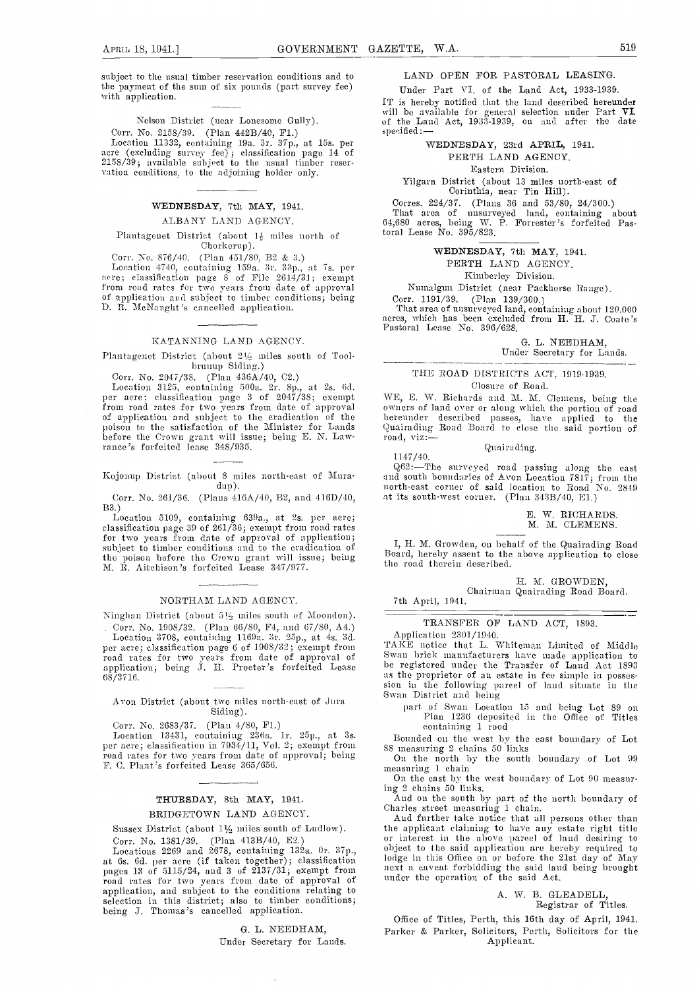subject to the usual timber reservation conditions and to the payment of the sum of six pounds (part survey fee) with application.

Nelson District (near Lonesome Gully).<br>Corr. No. 2158/39. (Plan 442B/40, F1.)

Corr. No. 2158/39. (Plan 442B/40, F1.) <sup>5</sup><br>Location 11332, containing 19a. 3r. 37p., at 15s. per<br>acre (excluding survey fee); classification page 14 of 2158/39; available subject to the usual timber reser-<br>vation conditions, to the adjoining holder only.

### WEDNESDAY, 7th MAY, 1941.

#### ALBANY LAND AGENCY.

Plantagenet District (about  $1\frac{1}{2}$  miles north of Chorkerup).

Corr. No. 876/40. (Plan 451 /80, B2 & 3.) Location 4740, containing 159a. 3i. Yip., at 7s. per acre; classification page S of File 2614/31; exempt<br>from road rates for two years from date of approval<br>of application and subject to timber conditions; being Cor.<br>D. B. McNaught's cancelled application. Th

#### KATANNING LAND AGENCY.

Plantagenet District (about 21/2 miles south of Toolbrunup Siding.)

Corr. No. 2047/38. (Plan 436A/40, C2.)<br>Location 3125, containing 500a. 2r. 8p., at 2s. 6d. From road rates for two years from date of approval<br>of approval over or along which the portion of road<br>of application and subject to the eradication of the<br>poison to the satisfaction of the Minister for Lands<br>before the C

Kojonup District (about 8 miles north-east of Muradup).

Corr. No. 261/36. (Plans 416A/40, B2, and 416D/40, 133.)

Location 5109, containing 639a., at 2s. per acre; classification page 39 of 261/36; exempt from road rates for two years from date of approval of application; subject to timber conditions and to the eradication of the poison before the Crown grant will issue; being M. R. Aitchison's forfeited Lease 347/977.

#### NORTHAM LAND AGENCY.

Ninghan District (about  $5\frac{1}{2}$  miles south of Moondon).

Corr. No. 1905/32. (Plan 66/SO, F4, and 07/SO, A4.) Location 3708, containing 1169a. 3r. 25p., at 4s. 3d. per acre; classification page 6 of 1905/32; excuipt from road rates for two years from date of approval of Swan<br>application; being J. H. Procter's forfeited Lease be re<br>68/3716. ...

### Avon District (about two miles north-east of Jura Swan District and being<br>north-finally special contract Supply Legative Siding).

Corr. No. 2683/37. (Plan 4/SO, El.)

Location 13431, containing 236a. 1r. 25p., at 3s. Bounded<br>per acre; classification in 7934/11, Vol. 2; exempt from 88 measurin per acre; elassification in 7934/11, Vol. 2; exempt from as measuring 2 chains 50 links<br>road rates for two years from date of approval; being on the north by the south<br>F. C. Plant's forfeited Lease 365/656.<br>measuring 1 cha

#### THURSDAY, 8th MAY, 1941. BRIDGETOWN LAND AGENCY.

Sussex District (about  $1\frac{1}{2}$  miles south of Ludlow).

Corr. No. 1381/39. (Plan 413B/40, E2.)<br>Locations 2269 and 2678, containing 132a. 0r. 37p., Locations 2269 and 2678, containing 132a. Or. 37p., objection at 6s. 6d. per acre (if taken together); classification lodg pages 13 of 5115/24, and 3 of 2137/31, exempt from hext a cave road rates for two years from date of approval of ander the opplication, and subject to the conditions relating to selection in this district; also to timber conditions; being J. Thomas's cancelled application.

G. L. NEEDHAM,

Under Secretary for Lands.

#### LAND OPEN FOR PASTORAL LEASING.

Under Part VI. of the Land Act, 1933-1939. ['P is hereby notified that the land described hereunder will be available for general selection under Part VI. of the Laud Act, 1933-1939, on and after the date specified :-

#### WEDNESDAY, 23rd APRIL, 1941. PERTH LAND AGENCY.

Eastern Division.

Yilgarn District (about 13 miles north-east of Corinthia, near Tin Hill).<br>Corres. 224/37. (Plaus 36 and 53/80, 24/300.)

Corres. 224/37. (Plans 36 and 53/80, 24/300.) That area of unsurveyed land, containing about 64,680 acres, being W. P. Forrester's forfeited Pas-<br>toral Lease No. 395/823.

#### WEDNESDAY, 7th MAY, 1941.

PERTH LAND AGENCY.

Kimberley Division.

Numalgun District, (near Packhorse Range).

Corr. 1191/39. (Plan 139/300.)

That area of nnsurveyed land, containing about 120.000 acres, which has been excluded from H. H. J. Coate 's Pastoral Lease No. 396/628.

G. L. NEEDHAM,

Under Secretary for Lands.

#### THE ROAD DISTRICTS ACT, 1919-1939. Closure of Road.

WE, E. W. Richards and M. M. Clemens, being the hereunder described passes, have applied to the  $road, viz: -$ 

Quairading.

1147/40.<br>Q62:-The surveyed road passing along the east and south boundaries of Avon Location 7817; from the north-east corner of said location to Road No. 2849 at its south-west corner. (Plan 343B/40, El.)

> E. W. RICHARDS. M. M. CLEMENS.

I, H. M. Growden, on behalf of the Quairading Road Board, hereby assent to the above application to close the road therein described.

H. M. GROWDEN,

—————

Chairman Quairading Road Board.<br>7th April, 1941.

TRANSFER OF LAND ACT, 1893.<br>Application 2301/1940.

TAKE notice that L. Whiteman Limited of Middle Swan brick manufacturers have made application to be registered under the Transfer of Land Act 1893 as the proprietor of an estate in fee simple in possession in the following parcel of land situate in the

part of Swan Location 15 and being Lot 89 on Plan 1236 deposited in the Office of Titles containing 1 rood

Bounded on the west by the east boundary of Lot

On the north by the south boundary of Lot 99

On the east by the west boundary of Lot 90 measur-<br>ing 2 chains 50 links.

And on the south by part of the north boundary of Charles street measuring 1 chain.<br>And further take notice that all persons other than

time applicant claiming to have any estate right title or interest in the above parcel of laud desiring to object to the said application are hereby required to lodge in this Office on or before the 2lst day of May next a caveat forbidding the said land being brought under the operation of the said Act.

# A. W. B. GLEADELL, Registrar of Titles.

Office of Titles, Perth, this 16th day of April, 1941. Parker & Parker, Solicitors, Perth, Solicitors for the Applicant.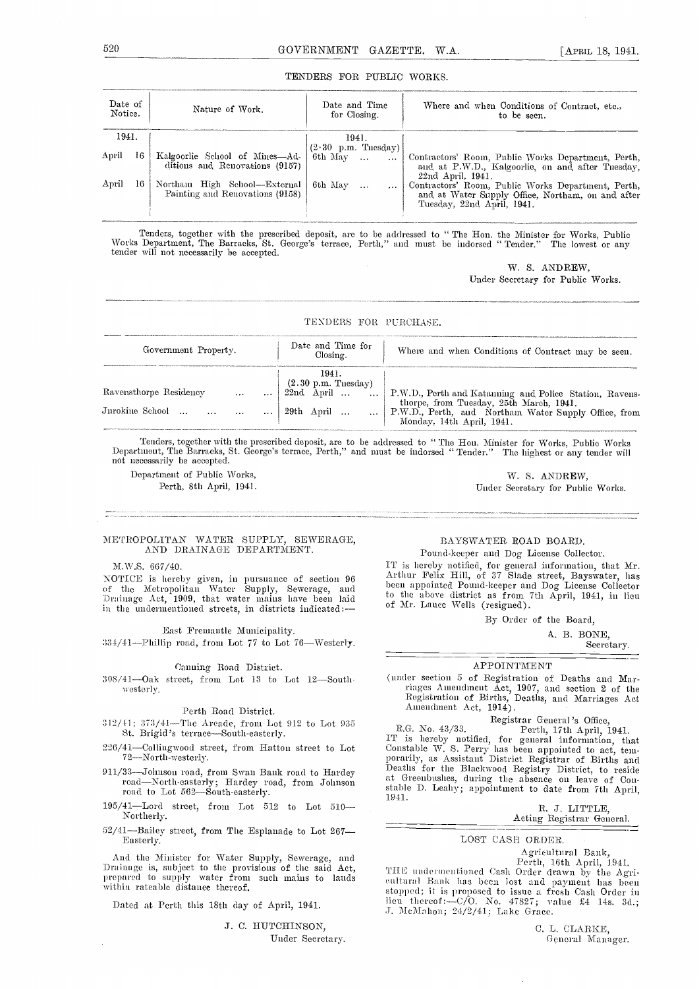#### TENDERS FOR PUBLIC WORKS.

| Date of<br>Notice. |    | Nature of Work.                                                                                                                             | Date and Time<br>for Closing.                                | Where and when Conditions of Contract, etc.,<br>to be seen.                                                                                                                                                                                                                 |
|--------------------|----|---------------------------------------------------------------------------------------------------------------------------------------------|--------------------------------------------------------------|-----------------------------------------------------------------------------------------------------------------------------------------------------------------------------------------------------------------------------------------------------------------------------|
| 1941.              |    |                                                                                                                                             | 1941.                                                        |                                                                                                                                                                                                                                                                             |
| April<br>April     | 16 | Kalgoorlie School of Mines—Ad- 6th May<br>ditions and Renovations (9157)<br>Northam High School—External<br>Painting and Renovations (9158) | $(2.30 \text{ p.m.} \text{ Tuesday})$<br>$\cdots$<br>6th May | Contractors' Room, Public Works Department, Perth,<br>and at P.W.D., Kalgoorlie, on and after Tuesday,<br>$22nd$ , April, $1941$ .<br>Contractors' Room, Public Works Department, Perth,<br>and at Water Supply Office, Northam, on and after<br>Tuesday, 22nd April, 1941. |

Tenders, together with the prescribed deposit, are to be addressed to " The Hon. the Minister for Works, Public Works Department, The Barracks, St. George's terrace, Perth," and must be indorseci "Tender." The lowest or any tender will not necessarily be accepted.

> W. S. ANDREW, Under Secretary for Public Works.

TEXDERS FOR PURCHASE.

| Government Property. | Date and Time for<br>Closing. | Where and when Conditions of Contract may be seen.                                                                                                                                    |
|----------------------|-------------------------------|---------------------------------------------------------------------------------------------------------------------------------------------------------------------------------------|
|                      | 1941.                         |                                                                                                                                                                                       |
|                      |                               | avensthorpe Residency   [230 p.m. Thesday]<br>22nd April    Perth and Katauning and Police Station, Ravens-<br>1990     29th April       P.W.D., Perth, and Natauning and Police Stat |
|                      |                               | Monday, 14th April, 1941.                                                                                                                                                             |

Tenders, together with the prescribed deposit, are to be addressed to "The Hon. Minister for Works, Public Works Department, The Barracks, St. George's terrace, Perth," and must be indorsed "Tender." The highest or any ten

Department of Public Works, Perth, 8th April, 1941.

W. S. ANDREW, Under Secretary for Public Works.

#### METROPOLITAN WATER SUPPLY, SEWERAGE, AND DRAINAGE DEPARTMENT.

#### M.W.S. 667/40.

YOTICE is hereby given, in pursuance of section 96 of the Metropolitan Water Supply, Sewerage, and the teen<br>Drainage Act, 1909, that water mains have been laid to t in the uudermentioned streets, in districts indicated:

#### East Fremautle Municipality.

:134/41-Phillip road, from Lot 77 to Lot 76-Westerly.

#### Canning Road District.

westerly.

#### Perth Road District.

- $312/11$ ;  $373/41$ —The Arcade, from Lot 912 to Lot 935 R.G. No.  $43/33$ .<br>St. Brigid's terrace—South-easterly. The is barely as
- $226/41$  –Collingwood street, from Hatton street to Lot  $72$  –North-westerly.
- 911/33-Johnson road, from Swan Bank road to Hardey road-North-easterly; Hardey road, from Johnson road to Lot 562-South-easterly.
- $1941$ .  $195/41$ —Lord street, from Lot  $512$  to Lot  $510$  Northerly.
- 52/41-Bailey street, from The Esplanade to Lot 267-<br>Easterly.

And the Minister for Water Supply, Sewerage, and Drainage is, subject to the provisions of the said Act, prepared to supply water from such mains to lands within rateable distance thereof.

Dated at Perth this 18th day of April, 1941.

J. C. HUTCHINSON, Under Secretary.

### BAYSWATER ROAD BOARD.

Pound-keeper and Dog License Collector. IT is hereby notified, for general information, that Mr. Arthur Felix Hill, of 37 Slade street, Bayswator, has been appointed Pound-keeper and Dog License Collector to the above district as from 7th April, 1941, in lieu<br>of Mr. Lance Wells (resigned).

By Order of the Board,

A. B. BONE,

Secretary.

#### APPOINTMENT

 $308/41$ -Oak street, from Lot 13 to Lot 12-South. (under section 5 of Registration of Deaths and Mar-Trages Amendment Act, 1907, and section 2 of the Registration of Births, Deaths, and Marriages Act Amendment Act, 1914).<br>Registrar General's Office,

R.G. No. 43/33. Perth, 17th April, 1941.<br>IT is hereby notified, for general information, that<br>Constable W. S. Perry has been appointed to act, tem-<br>porarily, as Assistant District Registrar of Births and potatily, as the Blackwood Registry District, to reside at Greenbushes, during the absence on leave of Constable D. Leahy; appointment to date from 7th April,

B. J. LITTLE, Acting Registrar General.

#### LOST CASH ORDER.

Agricultural Bank,<br>Perth, 16th April, 1941.<br>THE undermentioned Cash Order drawn by the Agri-<br>cultural Bank has been lost and payment has been stopped; it is proposed to issue a fresh Cash Order in<br>lieu thereof:—C/O. No. 47827; value £4 14s. 3d.;<br>J. McMahon; 24/2/41; Lake Grace.

> CL. CLARKE, General Manager.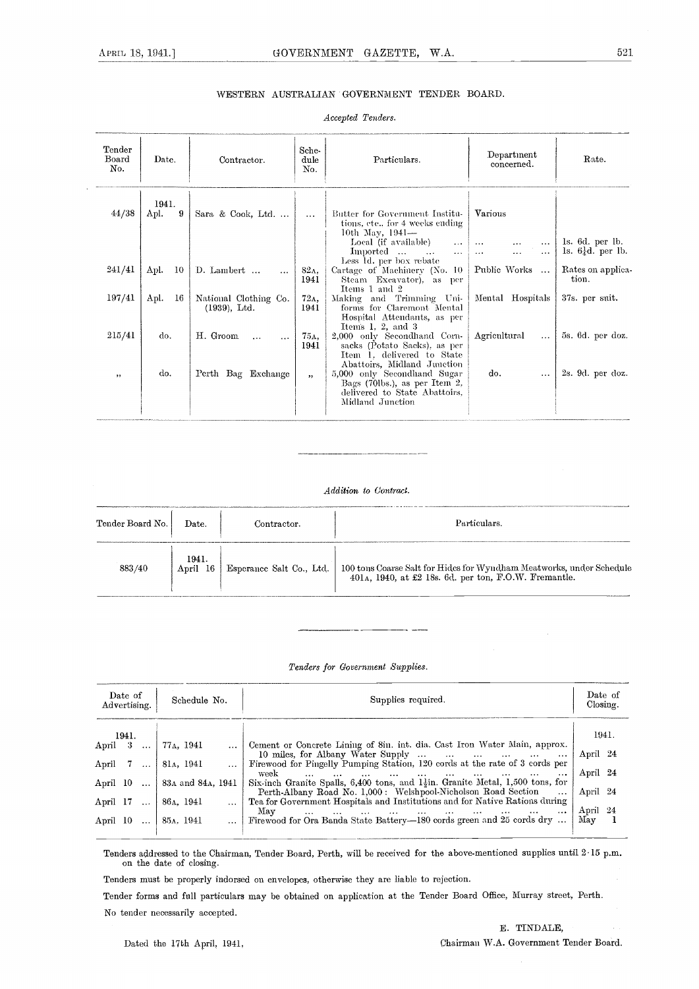### WESTERN AUSTRALIAN GOVERNMENT TENDER BOARD.

#### Accepted Tenders.

| Tender<br>Board<br>No. | Date.              | Contractor.                              | Sche-<br>dule<br>No. | Particulars.                                                                                                                                                 | Department<br>concerned.                                               | Rate.                                                       |
|------------------------|--------------------|------------------------------------------|----------------------|--------------------------------------------------------------------------------------------------------------------------------------------------------------|------------------------------------------------------------------------|-------------------------------------------------------------|
| 44/38                  | 1941.<br>9<br>Apl. | Sara & Cook, Ltd.                        | $\cdots$             | Butter for Government Institu-<br>tions, etc., for 4 weeks ending<br>10th May, 1941-<br>Local (if available)                                                 | Various                                                                | ls. 6d. per lb.                                             |
| 241/41                 | Apl.<br>-10        | D. Lambert<br>$\cdots$                   | 82A.<br>1941         | $\sim$ $\sim$<br>Imported<br>$\cdots$<br>$\cdots$<br>Less 1d. per box rebate<br>Cartage of Machinery (No. 10<br>Steam Excavator), as<br>per<br>Items 1 and 2 | $\ldots$<br>$\cdots$<br>.<br>$\cdots$<br>Public Works<br>$\sim$ $\sim$ | 1s. $6\frac{1}{4}d$ . per lb.<br>Rates on applica-<br>tion. |
| 197/41                 | -16<br>Apl.        | National Clothing Co.<br>$(1939)$ , Ltd. | 72A.<br>1941         | Making and Trimming Uni-<br>forms for Claremont Mental<br>Hospital Attendants, as per<br>Items 1. 2, and $3$                                                 | Mental Hospitals                                                       | 37s. per suit.                                              |
| 215/41                 | do.                | H. Groom<br>$\ddotsc$<br>$\cdots$        | 75д,<br>1941         | 2,000 only Secondhand Corn-<br>sacks (Potato Sacks), as per<br>Item 1. delivered to State<br>Abattoirs, Midland Junction                                     | Agricultural<br>$\cdots$                                               | 5s. 6d. per doz.                                            |
| $, \,$                 | do.                | Perth Bag Exchange                       | ,                    | 5,000 only Secondhand Sugar<br>Bags (70lbs.), as per Item 2,<br>delivered to State Abattoirs,<br>Midland Junction                                            | do.<br>$\cdots$                                                        | 2s. 9d. per doz.                                            |

#### Addition to Contract.

| Tender Board No. | Date.             | Contractor.              | Particulars.                                                                                                               |
|------------------|-------------------|--------------------------|----------------------------------------------------------------------------------------------------------------------------|
|                  |                   |                          |                                                                                                                            |
| 883/40           | 1941.<br>April 16 | Esperance Salt Co., Ltd. | 100 tons Coarse Salt for Hides for Wyndham Meatworks, under Schedule 401a, 1940, at £2 18s. 6d. per ton, F.O.W. Fremantle. |

#### Tenders for Government Supplies.

| Date of<br>Schedule No.<br>Advertising.                  |                                            | Supplies required.                                                                                                                                                                                                                                                                                                                                                                                          |                          |  |  |
|----------------------------------------------------------|--------------------------------------------|-------------------------------------------------------------------------------------------------------------------------------------------------------------------------------------------------------------------------------------------------------------------------------------------------------------------------------------------------------------------------------------------------------------|--------------------------|--|--|
| 1941.<br>April $3 \ldots$                                | 77 <sub>A</sub> , 1941                     | Cement or Concrete Lining of 8in. int. dia. Cast Iron Water Main, approx.                                                                                                                                                                                                                                                                                                                                   | 1941.                    |  |  |
| April $7 \ldots$                                         | 81a, 1941                                  | 10 miles, for Albany Water Supply<br>Firewood for Pingelly Pumping Station, 120 cords at the rate of 3 cords per<br>week<br>and the state of the state of the state of<br>$\cdots$<br>$\cdots$                                                                                                                                                                                                              | April 24<br>April 24     |  |  |
| April 10                                                 | 83 <sub>A</sub> and 84 <sub>A</sub> , 1941 | Six-inch Granite Spalls, 6,400 tons, and $1\frac{1}{2}$ in. Granite Metal, 1,500 tons, for<br>Perth-Albany Road No. 1,000: Welshpool-Nicholson Road Section<br>$\ddotsc$                                                                                                                                                                                                                                    | April 24                 |  |  |
| April 17<br>$\sim 10^{-1}$<br>April 10<br>$\sim 10^{-1}$ | 86a, 1941<br>85a, 1941                     | Tea for Government Hospitals and Institutions and for Native Rations during<br>May<br>and the main the company of the company of the company of the company of the company of the company of the company of the company of the company of the company of the company of the company of the company of the company of<br>$\cdots$<br>  Firewood for Ora Banda State Battery-180 cords green and 25 cords dry | April 24<br>${\rm\,May}$ |  |  |

Tenders addressed to the Chairman, Tender Board, Perth, will be received for the above-mentioned supplies until 215 p.m. on the date of closing.

Tenders must be properly indorsed on envelopes, otherwise they are liable to rejection.

Tender forms and full particulars may be obtained on application at the Tender Board Office, Murray street, Perth. No tender necessarily accepted.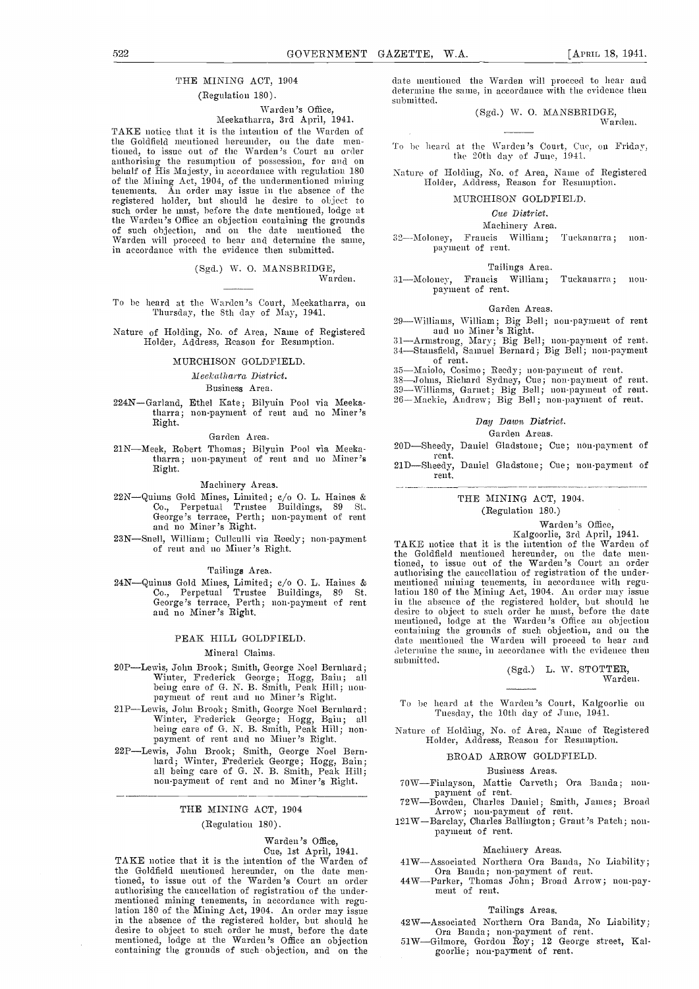#### THE MINING ACT, 1904 (Regulation 180).

### Warden's Office,

### Meekatharra, 3rd April, 1941.

TAKE notice that it is the intention of the Warden of the Goldfield mentioned hereunder, on the date mentioned, to issue out of the Warden's Court an order authorising the resumption of possession, for and on behalf of His Majesty, in accordance with regulation 180  $\,$  Natu of the Mining Act, 1904, of the undermentioned mining tenements. An order may issue in the absence of the registered holder, but should he desire to object to such order he must, before the date mentioned, lodge at the Warden's Office an objection containing the grounds of such objection, and on the date mentioned the Warden will proceed to hear and determine the same, in accordance with the evidence then submitted.

(Sgd.) W. 0. MANSBRIDGE, Warden.

To be heard at the Warden's Court, Meekatharra, on Garden Areas.<br>
Thursday, the Sth day of May, 1941.<br>
29 Williams, Williams, Big Bell; non-payment of rent

Nature of Holding, No. of Area, Name of Registered Holder, Address, Reason for Resumption.

#### MURCHISON GOLDFIELD.

liecka Iharra District.

#### Business Area.

224N-Garland, Ethel Kate; Bilyuin Pool via Meekatharra; non-paynient of rent and no Miner's Right.

#### Garden Area.

21N-Meek, Robert Thomas; Bilyuin Pool via Meekatharra; non-payment of rent and no Miner's Right.

#### Machinery Areas.

- 22N-Quinns Gold Mines, Limited; c/o O. L. Haines & Co., Perpetual Trustee Buildings, 89 St. George's terrace, Perth; non-payment of rent and no Miner's Right.
- 23N-Snell, William; Cullculli via Reedy; non-payment of rent and no Miner's Right.

#### Tailings Area.

24N-Quinns Gold Mines, Limited; c/o O. L. Haines & mentioned n Co., Perpetual Trustee Buildings, 89 St. George's terrace, Perth; non-payment of rent and no Miner's Right.

#### PEAK HILL GOLDFIELD.

#### Mineral Claims.

- 20PLewis, John Brook; Smith, George Noel Bernhard; Winter, Frederick George; Hogg, Bain; all being care of G. N. B. Smith, Peak Hill; non- payment of rent and no Miner 's Right.
- 21PLewis, John Brook; Smith, George Noel Bernhard; Winter, Frederick George; Hogg, Bain; all being care of G. N. B. Smith, Peak Hill; non- payment of rent and no Miner 's Right.
- 22PLewis, John Brook; Smith, George Noel Bern- hard; Winter, Frederick George; flogg, Bain; all being care of G. N. B. Smith, Peak I{ill; non-payment of rent and no Miner's Right.

#### THE MINING ACT, 1904

#### (Regulation 180).

# Warden's Office,<br>Cue, 1st April, 1941.

TAKE notice that it is the intention of the Warden of 41W-Associated Northern Ora Banda, No Liability; the Goldfield mentioned hereunder, on the date mentioned, to issue out of the Warden's Court an order authorising the cancellation of registration of the underauthorising the cancellation of registration of the under- mentioned mining tenements, in accordance with regulation 180 of the Mining Act, 1904. An order may issue in the absence of the registered holder, but should he desire to object to such order he must, before the date or Banda; non-payment of rent.<br>mentioned, lodge at the Warden's Office an objection 51W—Gilmore, Gordon Roy; 12 containing the grounds of such objection, and on the

date mentioned the Warden will proceed to hear and determine the same, in accordance with the evidence then submitted.

(Sgd.) W. 0. MANSBRII)GE, Warden.

To be heard at the Warden's Court, Cue, on Friday,<br>the 20th day of June, 1941.

Nature of Holding, No. of Area, Name of Registered Holder, Address, Reason for Resumption.

#### MURCHISON GOLDFIELD.

#### Cue District.

#### Machinery Area.

32--Moloney, Francis William; Turkauarra; non- payment of rent.

#### Tailings Area.

31-Moloney, Francis William; Tuckanarra; non-<br>payment of rent.

#### Garden Areas.

- 
- 20Williams, William; Big Bell; non-payment of rent and no Miner's Right.<br>31—Armstrong, Mary; Big Bell; non-payment of rent.<br>34—Stansfield, Samuel Bernard; Big Bell; non-payment<br>of rent.
- 
- 
- 
- 35—Maiolo, Cosimo; Reedy; non-payment of rent.<br>38—Johns, Richard Sydney, Cue; non-payment of rent.<br>39—Williams, Garnet; Big Bell; non-payment of rent.<br>26—Mackie, Andrew; Big Bell; non-payment of rent.
- 

#### Day Dawn District.

#### Garden Areas.

- 20D-Sheedy, Daniel Gladstone; Cue; non-payment of rent.
- 21D-Sheedy, Daniel Gladstone; Cue; non-payment of rent.

#### THE MINING ACT, 1904.

## (Regulation 180.)

Wardeu 's Office, Kalgoorlie, 3rd April, 1941. TAKE notice that it is the intention of the Warden of the Goldfield mentioned hereunder, on the date men-tioned, to issue out of the Warden's Court an order authorising the cancellation of registration of the under- mentioned mining tenements, in accordance with, regumentioned mining tenements, in accordance with regulation 180 of the Mining Act, 1904. An order may issue in the absence of the registered holder, but should he desire to object to such order he must, before the date mentioned, lodge at the Warden's Office an objection containing the grounds of such objection, and on the date mentioned the Warden will proceed to hear and determine the same, in accordance with the evidence then submitted.

(Sgd.) L. W. STOTTER, Warden.

- To be heard at the Warden's Court, Kalgoorlie on Tuesday, the 10th day of June, 1941.
- Nature of Holding, No. of Area, Name of Registered Holder, Address, Reason for Resumption.

#### BROAD ARROW GOLDFIELD

#### Business Areas.

- 70W-Finlayson, Mattie Carveth; Ora Banda; non-<br>payment of rent.
- payment of rent. The Bowden, Charles Daniel; Smith, James; Broad Arrow; non-payment of rent.<br>121W-Barclay, Charles Ballington; Grant's Patch; non-<br>payment of rent.
- 

#### Machinery Areas.

- 
- Associated Northern Ora Banda; non-payment of rent.<br>  $-$  Parker, Thomas John; Broad Arrow; non-pay-<br>
ment of rent.

#### Tailings Areas.

- 42W—Associated Northern Ora Banda, No Liability;<br>Ora Banda; non-payment of rent.<br>51W—Gilmore, Gordon Roy; 12 George street, Kal-
- goorlie; non-payment of rent.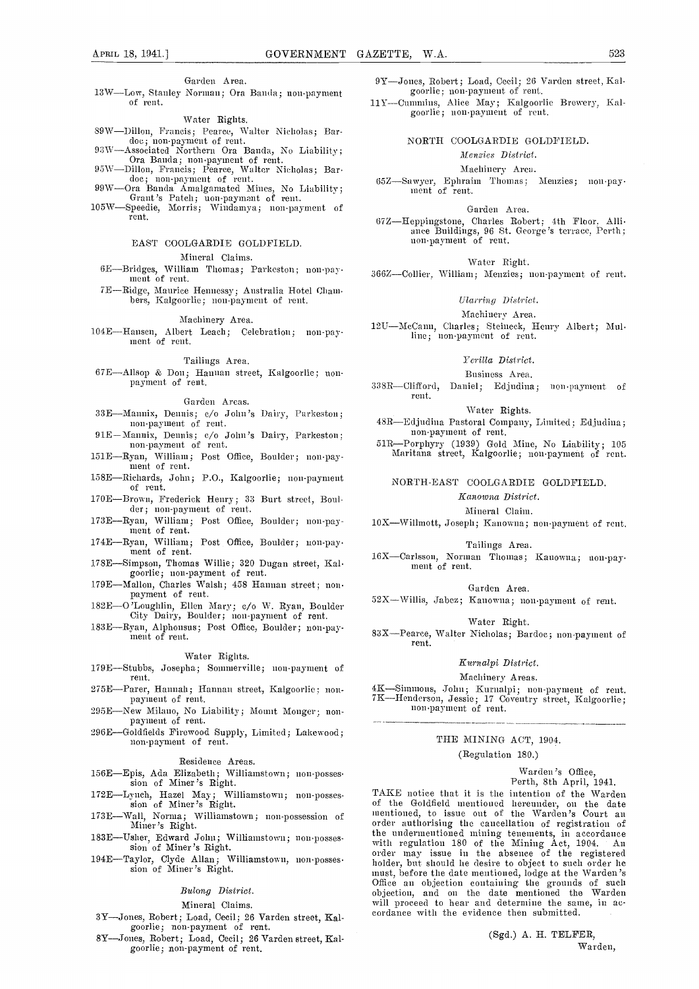#### Garden Area.

13W-Low, Stanley Norman; Ora Banda; non-payment of rent.

#### Water Rights.

- 89W-Dillon, Francis; Pearce, Walter Nicholas; Bar-<br>doc; non-payment of rent.<br>93W-Associated Northern Ora Banda, No Liability;
- 
- 
- doc; non-payment of rent.<br>
93W—Associated Northern Ora Banda, No Liability;<br>
Ora Banda; non-payment of rent.<br>
95W—Dillon, Francis; Pearce, Walter Nicholas; Bardoc; non-payment of rent.<br>
99W—Ora Banda Amalgamated Mines, No
- 

#### EAST COOLGARDIE GOLDFIELD.

Mineral Claims.

- 6E-Bridgcs, William Thomas; Parkeston ; non-pay- mneut of rent.
- 7E-Ridge, Maurice Hennessy; Australia Hotel (Jhani- bers, Kalgoorhc; non-payment of reut.

#### Machinery Area.

104E-Hansen, Albert Leach; Celebration; non-pay-<br>ment of rent.

#### Tailings Area.

67E-Allsop & Doll; Hannan street, Kalgoorlie; non- payment of rent.

#### Garden Areas.

- 33E-Mannix, Dennis; c/o John's Dairy, Parkeston; non-payment of rent.
- 91E-Mannix, Dennis; c/o John's Dairy, Parkeston; non-payment of rent.
- 151E-Ryan, William; Post Office, Boulder; non-pay- ment of rent.
- 158E-Richards, John; P.O., Kalgoorlic; non-payment of rent.
- 170E-Brown, Frederick Henry; 33 Burt street, Boul- dci-; lion-payment of rent.
- 173E-Ryan, 'William; Post Office, Boulder; nou-pay- meat of rent.
- 174E-Ryan, William; Post Office, Boulder; non-pay-<br>ment of rent.
- 178E-Simpson, Thomas Willie; 320 Dugan street, Kal- goorhie; non-payment of rent.
- 179E-Mallon, Charles Walsh; 458 Hannan street; non- payment of rent.
- 182E-O'Loughlin, Ellen Mary; c/o W. Ryan, Boulder City Dairy, Boulder; non-payment of rent.
- 183 E-Ryan, Aiphonsus; Post Office, Boulder; non-pa)-- ment of rent.

#### Water Rights.

- 179E-Stubbs, Josepha; Somnierville; non-payment of rent.
- 275E-Parer, Hannah; Hannan street, Kalgoorlie; non- payment of rent.
- 295E-New Milano, No Liability; Mount Monger; non- payment of remit.
- 296E-Goldfields Firewood Supply, Limited; Lakewood; non-paynsent of rent.

#### Residence Areas.

- 156E-Epis, Ada Elizabeth; Williainstown; non-posses- sion of Miner's Right.
- 172E-Lynch, Hazel May; Williamstown; non-posses- sion of Miner's Right.
- 173E-Wall, Norma; Williamstown; non-possession of Miner's Right.
- 
- 

#### Bulong District.

#### Mineral Claims.

- 3Y-Jones, Robert; Load, Cecil; 26 Varden street, Kalgoorlie; non-payment of rent.
- 8Y-Joues, Robert; Load, Cecil; 26 Varden street, Kalgoorlie; non-payment of rent.

9Y-Jones, Robert; Load, Cecil; 26 Varden street, Kalgoorlie; non-payment of rent.

lil-Cunimins, Alice May; Kalgooilie Brewery. Hal-goorlic ; non-payment of rent.

#### NORTH COOLGARDIE GOLDFIELD.

#### Menzies District.

#### Machinery Area.

65Z-Sawyer, Epinaim Thonias ; Meuzies; 1100-pay- ment of rent.

#### Garden Area.

67Z-Heppingstone, Charles Robert; 4th Floor, Alhi-anee Buildings, 96 St. George's terrace, Perth; non-paYment of rent.

#### Water Bight.

366Z-Collier, William; Menzies; non-payment of rent.

#### Ularring District.

#### Machinery Area.

12U-McCann, Charles; Steineck, Henry Albert; Mulline; non-payment of rent.

#### Ycrilla District.

#### Business Area.

338R-Clifford, Daniel; Edjudina; non-payment of rent.

#### \Vatei- Rights.

48R-Edjudina Pastoral Company, Limited; Edjudina; non-payment of rent.

51R-Porphiyi-y (1939) Gold Mine, No Liability; 105 Maritana sti-cet, Kalgoorlie; non-payment of rent.

#### NORTH-EAST COOLGARDIE GOLDFIELD.

#### Kanowna District.

Mineral Claim.

10X-Willmott, Joseph; Kanowna; non-payment of rent.

#### Tailings Area.

16X-Carlsson, Norman Thomas; Kanowna; non-pay-<br>ment of rent.

#### Garden Area.

 $52X-Willis, Jabez; Kanowna; non-payment of rent.$ 

#### Water Right.

83X-Pearce, Walter Nicholas; Bardoe; non-payment of rent.

#### Kurnaipi District.

#### Machinery Areas.

4K-Simmons, John; Kurnalpi; non-payment of rent.<br>7K-Henderson, Jessie; 17 Coventry street, Kalgoorlie; non-payment of rent.

#### THE MINING ACT, 1904. (Regulation 180.)

#### Warden's Office, Perth, 8th April, 1941.

183E-Usher, Edward John; Williamstown; non-posses-<br>
sion of Miner's Right. And the Minimagnetic order that the Minimagnetic sion of Miner's Right. 194E—Taylor, Clyde Allan; Williamstown, non-posses. The order may issue in the absence of the registered<br>sion of Miner's Right. The must, before the date mentioned, lodge at the Warden's TAKE notice that it is the intention of the Warden of the Goldfield mentioned hereunder, on the date mentioned, to issue out of the Warden's Court an order authorising the cancellation of registration of the undermentioned mining tenements, in accordance<br>with regulation 180 of the Mining Act, 1904. An order may issue in the absence of the registered holder, but should he desire to object to such order he must, before the date mentioned, lodge at the Warden's Office an objection containing the grounds of such objection, and on the date mentioned the Warden will proceed to hear and determine the same, in accordance with the evidence then submitted.

> (Sgd.) A. H. TELFER, Warden,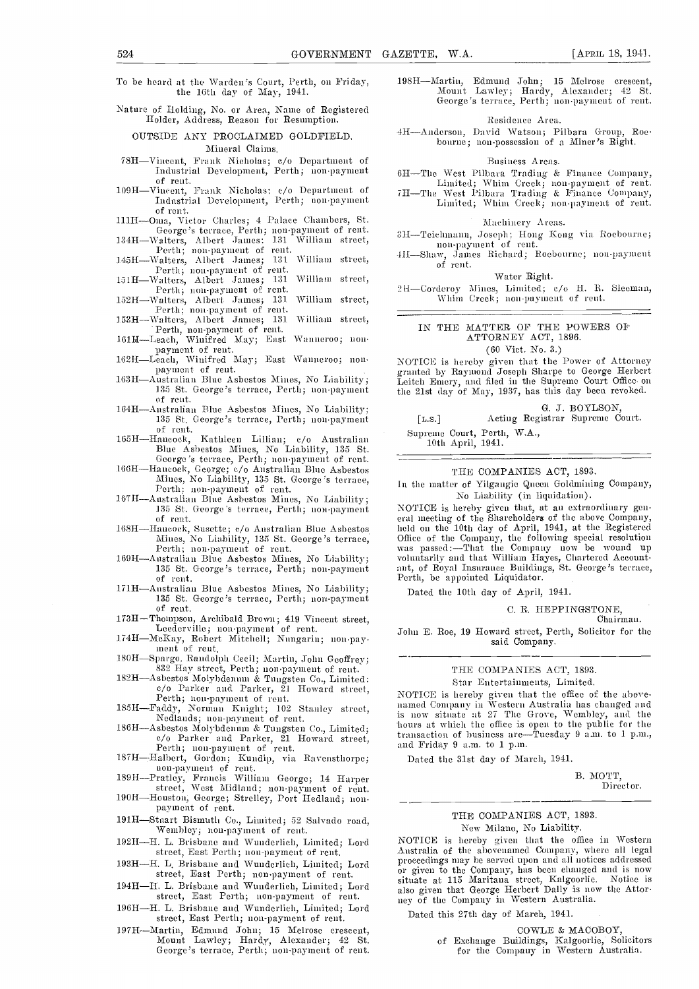To be heard at the Warden's Court, Perth, on Friday, the 16th day of May, 1941.

Nature of Holding, No. or Area, Name of Registered Holder, Address, Reason for Resumption.

OUTSIDE ANY PROCLAIMED GOLDFIELD. Mineral Claims.

- 78H-Vincent, Frank Nicholas; c/o Department of Industrial Development, Perth; non-payment of rent. of rent.<br>109H-Vincent, Frank Nicholas: c/o Department of
- Industrial Development, Perth; non-payment of rent.
- 111H-Oma, Victor Charles; 4 Palace Chambers, St.
- George's terrace, Perth; non-payment of rent.<br>
134H—Walters, Albert James; 131 William street,<br>
Perth; non-payment of rent.
- 145H-Walters, Albert James; 131 William street, Perth; non-payment of rent.
- 151H-Walters, Albert James; 131 William street, Perth; non-payment of rent.
- 152H-Walters, Albert James; 131 William street,<br>Perth; non-payment of rent.
- 153H-Walters, Albert James; 131 William street,
- 
- Perth, non-payment of rent.<br>
161H—Leach, Winifred May; East Wanneroo; non-<br>
payment of rent.<br>
162H—Leach, Winifred May; East Wanneroo; non-<br>
payment of rent.
- of rent.
- 164H-Anstralian Blue Asbestos Mines, No Liability; 135 St. George's terrace, Perth; non-payment of rent.
- 165H—Hancock, Kathleen Lillian; c/o Australian<br>
Blue Asbestos Mines, No Liability, 135 St.<br>
George's terrace, Perth; non-payment of rent.<br>
166H Hancock House House Abertaiches
- George's terrace, rerum; non-payment of renu.<br>166H—Hancock, George; c/o Australian Blue Asbestos<br>Mines, No Liability, 135 St. George's terrace,<br>Perth: non-payment of rent.<br>167H—Astralian Blue Asbestos Mines, No Liability;<br>
- 
- 168H-Hancock, Susette; c/o Australian Blue Asbestos Mines, No Liability, 135 St. George's terrace,
- Mines, No Liability; 135 St. George's terrace, Perth; non-payment of rent. 16911-Australian Blue Asbestos Mines, No Liability; 135 St. George's terrace, Perth; non-payment
- 171H—Australian Blue Asbestos Mines, No Liability;<br>135 St. George's terrace, Perth; non-payment<br>of rent.<br>173H—Thompson, Archibald Brown; 419 Vincent street,
- 
- 174H—McKay, Robert Mitchell; Nungarin; non-pay-<br>174H—McKay, Robert Mitchell; Nungarin; non-pay-<br>ment of rent.
- 
- 180H—Spargo, Randolph Cecil; Martin, John Geoffrey; 832 Hay street, Perth; non-payment of rent. 18211—Asbestos Molybdenum & Tungsten Co., Limited: c/o Parker and Parker, 21 Howard street, Perth; non-payment of rent.
- 
- 185H—Faddy, Norman Knight; 102 Stanley street,<br>
Nedlands; non-payment of rent.<br>
186H—Asbestos Molybdenum & Tungsten Co., Limited;<br>
etch Co. Parker and Parker, 21 Howard street,<br>
Perth; non-payment of rent.<br>
187H—Halbert, G
- 
- 
- non-payment of rent.<br>
189H—Pratley, Francis William George; 14 Harper<br>
street, West Midland; non-payment of rent.<br>
190H—Houston, George; Strelley, Port Hedland; non-<br>
payment of rent.
- 191H-Stuart Bismuth Co., Limited; 52 Salvado road, 'Weinbley; non-payment of rent.
- 192H-H. L. Brisbane and Wunderlich, Limited; Lord street, East Perth; non-payment of rent.
- 193H-H. L. Brisbane and Wunderlich, Limited; Lord street, East Perth; non-payment of rent.
- 194H-H. L. Brisbane and Wunderlich, Limited; Lord
- street, East Perth; non-payment of rent. 196H-H. L. Brisbane and Wunderlich, Limited; Lord
- street, East Perth; non-payment of rent.
- 19711--Martin, Edmund John; 15 Meirose crescent, MOunt Lawley; Hardy, Alexander; <sup>42</sup> St. George's terrace, Perth; non-paymnemit of rent,

19811\'[artin, Edmund John; 15 Melrose crescent, Mount Lawley; Hardy, Alexander; <sup>42</sup> St. George's terrace, Perth; non-payment of rent.

#### Residence Area.

41-IAnderson, David Watson; Pilbara Group, Roe- bourmie; non-possession of a Miner's Bight.

- Business Areas.<br>6H-The West Pilbara Trading & Finance Company,
- Limited; Whim Creek; non-payment of rent.<br>7H-The West Pilbara Trading & Finance Company, Limited; Whim Creek; non-payment of rent.

#### Machinery Areas.

- 3H—Teichmann, Joseph; Hong Kong via Roebourne;
- non-payment of rent.<br>411—Shaw, James Richard; Roebourne; non-payment of rent.

#### Water Right.

2H-Corderoy Mines, Limited; c/o H. R. Sleeman, Whim Creek; non-paynient of rent.

#### IN THE MATTER OF THE POWERS 01' ATTORNEY ACT, 1896.

#### (60 Viet. No. 3.)

payment of rent.<br>10311—Australian Blue Asbestos Mines, No Liability; 10311—Australian Blue Asbestos Mines, No Liability; 135 St. George's terrace, Perth; non-payment the 21st day of May, 1937, has this day been revoked. NOTICE is hereby given that the Power of Attorney Leitch Emery, and filed in the Supreme Court Office on the 21st day of May, 1937, has this day been revoked.

#### G. J. BOYLSON,

[L.s.] Acting Registrar Supreme Court. Supreme Court, Perth, WA., 10th April, 1941.

#### THE COMPANIES ACT, 1893.

In the matter of Yilgangie Queen Goldmining Company, No Liability (in liquidation).

NOTICE is hereby given that, at an extraordinary general meeting of the Shareholders of the above Company, held on the 10th day of April, 1941, at the Registered Office of the Company, the following special resolution<br>was passed:—That the Company now be wound up voluntarily amid that William Hayes, Chartered Accountant, of Royal Insurance Buildings, St. George's terrace, Perth, be appointed Liquidator.

Dated the 10th day of April, 1941.

#### C. R. HEPPINGSTONE,

Chairman.

John E. Roe, 19 Howard street, Perth, Solicitor for the said Company.

# THE COMPANIES ACT, 1893.

Star Entertainments, Limited.

NOTICE is hereby given that the office of the above named Company in Western Australia has changed and is now situate at 27 The Grove, Wembley, and the hours at which the office is open to the public for the transaction of business are-Tuesday 9 a.m. to 1 p.m.,

Dated the 31st day of March, 1941.

B. MOT'T, Director.

# THE COMPANIES ACT, 1893.

New Milano, No Liability.

NOTICE is hereby given that the office in Western Australia of the abovenamed Company, where all legal proceedings may be served upon and all notices addressed or given to the Company, has been changed and is now<br>situate at 115 Maritana street, Kalgoorlie. Notice is also given that George Herbert Dally is now the Attorney of the Company in Western Australia.

Dated this 27th day of March, 1941.

#### COWLE & MACOBOY,

of Exchange Buildings, Kaigoorlie, Solicitors for the Company in Western Australia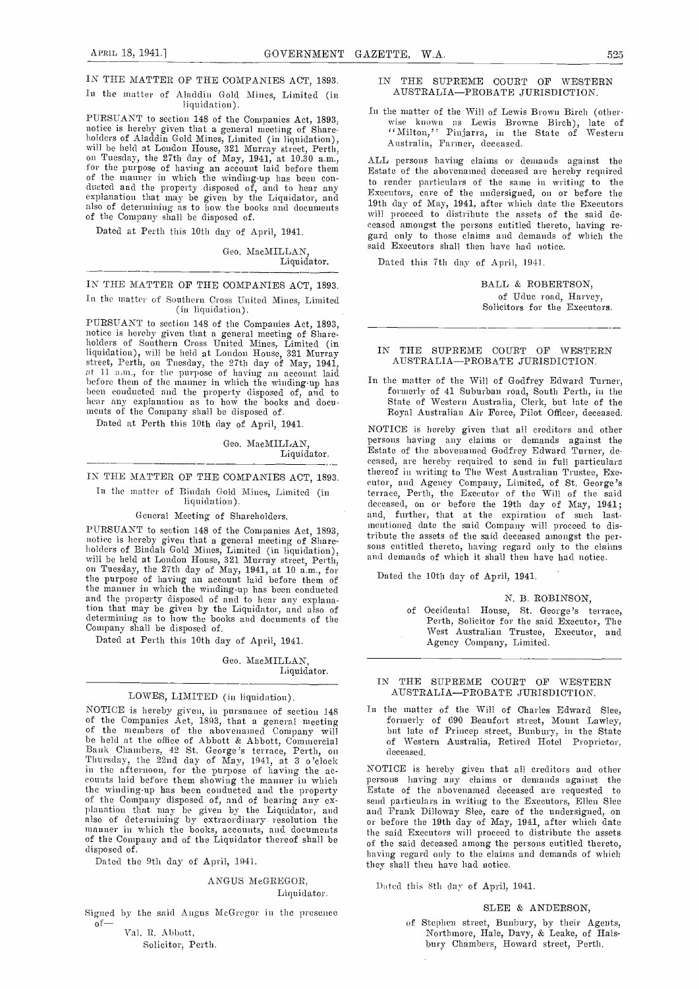In the matter of Aladdin Gold Mines, Limited (in

liquidation).<br>PURSUANT to section 148 of the Companies Act, 1893, PURSUANT to section 148 of the Companies Act, 1893, wise k<br>notice is hereby given that a general meeting of Share-<br>holders of Aladdin Gold Mines, Limited (in liquidation), will be held at London House, 321 Murray street, P of the manner in which the winding-up has been con-<br>ducted and the property disposed of, and to hear any  $\frac{1}{N_{N}}$ explanation that may be given by the Liquidator, and  $\frac{Lxe^{i}}{10^{16}}$ also of determining as to how the books and documents of the Company shall he disposed of.

Dated at Perth this 10th day of April, 1941.

Geo. MacMILLAN, Liquidator.

IN THE MATTER OF THE COMPANIES ACT, 1893. In the matter of Southern Cross United Mines, Limited

(in hquidation).

PURSUANT to section 148 of the Companies Act, 1893, notice is hereby given that a general meeting of Share-holders of Southern Cross United Mines, Limited (in liquidation), will be held at London House, 321 Murray<br>street, Perth, on Tuesday, the 27th day of May, 1941,<br>at 11 a.m., for the purpose of having an account laid hefore them of the manner in which the winding-up has heem conducted and the property disposed of, and to hear any explanation as to how the books and docu-<br>hear any explanation as to how the books and docu-<br>ments of the C

Dated at Perth this 10th day of April, 1941.

Geo. MacMILLAN, Liquidator.

IN THE MATTER OF THE COMPANIES ACT, 1893.

In the matter of Bindah Gold Mines, Limited (in liquidation).

General Meeting of Shareholders.

PURSUANT to section 148 of the Companies Act, 1893, notice is hereby given that a general meeting of Share-holders of Bindah Gold Mines, Limited (in liquidation), will be held at London House, 321 Murray street, Perth, on the purpose of having an account laid before them of the manner in which the winding-up has been conducted and the property disposed of and to hear any explana-tion that may be given by the Liquidator, and also of determining as to how the books and documents of the Company shall be disposed of.

Dated at Perth this 10th day of April, 1941.

Geo. MacMILLAN, Liquidator.

#### LOWES, LIMITED (in liquidation).

NOTICE is hereby given, in pursuance of section 148 <sup>In th</sup><br>of the Companies Act, 1893, that a general meeting f<br>of the members of the abovenamed Company will b<br>be held at the office of Abbott & Abbott, Commercial o<br>Bank C Thursday, the  $22n$ d day of May,  $1941$ , at 3 o'clock in the afternoon, for the purpose of having the ac- NOT counts laid before them showing the manner in which perso the winding-up has been conducted and the property Estate<br>of the Company disposed of, and of hearing any ex-<br>planation that may be given by the Liquidator, and and I also of determining by extraordinary resolution the  $n_{\text{th}}$  nmanner in which the books, accounts, and documents of the Conipany and of the Liquidator thereof shall be disposed of.

Dated the 9th day of April, 1941.

#### ANGUS McGREGOR, Liquidator.

Signed by the said Angus McGregor in the presence of

Val. R. Abbott, Solicitor, Perth.

#### IN THE SUPREME COURT OF WESTERN AUSTRALIA-PROBATE JURISDICTION.

In the matter of the Will of Lewis Brown Birch (otherwise known as Lewis Browne Birch), late of 'Milton,'' Pinjarra, in the State of Western Australia, Farmer, deceased.

ALL persons having claims or demands against the Estate of the abovenamed deceased are hereby required to render particulars of the same in writing to the Executors, care of the undersigned, on or before the will proceed to distribute the assets of the said deceased amongst the persons entitled thereto, having re- gard only to those claims and demands of which the said Executors shall then have had notice.

Dated this 7th day of April, 1941.

BALL & ROBERTSON, of Uduc road, Harvey, Solicitors for the Executors.

#### IN THE SUPREME COURT OF WESTERN AUSTRALIA-PROBATE JURISDICTION.

In the matter of the Will of Godfrey Edward Turner, Royal Australian Air Force, Pilot Officer, deceased.

NOTICE is hereby given that all creditors and other persons having any claims or demands against the Estate of the abovenamned Godfrey Edward Turner, deceased, are hereby required to send in full particulars thereof in writing to The West Australian Trustee, Exeeutor, and Agency Company, Limited, of St. George's terrace, Perth, the Executor of the Will of the said deceased, on or before the 19th day of May, 1941; and, further, that at the expiration of such lastmentioned date the said Company will proceed to distribute the assets of the said deceased amongst the persons entitled thereto, having regard only to the claims and demands of which it shall then have had notice.

Dated the 10th day of April, 1941.

N. B. ROBINSON,

of Occidental House, St. George's terrace, Perth, Solicitor for the said Executor, The West Australian Trustee, Executor, and Agency Company, Limited.

#### IN THE SUPREME COURT OF WESTERN AUSTRALIA-PROBATE JURISDICTION.

In the matter of the Will of Charles Edward Slee, formerly of 690 Beaufort street, Mount Lawley, but late of Princep street, Bunbury, in the State of Western Australia, Retired Hotel Proprietor, deceased.

NOTICE is hereby given that all creditors and other persons having any claims or demands against the Estate of the abovenamed deceased are requested to send particulars in writing to the Executors, Ellen Slee send particulars in w'riting to the Executors, Ellen Slee and Frank Dilloway Slee, care of the undersigned, on or before the 19th day of May, 1941, after which date the said Executors will proceed to distribute the assets of the said deceased among the persons entitled thereto, having regard only to the claims and demands of which they shall then have had aotiee.

Dated this 8th day of April, 1941.

SLEE & ANDERSON,

of Stephen street, Bunbnry, by their Agents, Northmore, Hale, Davy, & Leake, of Halsbury Chambers, Howard street, Perth.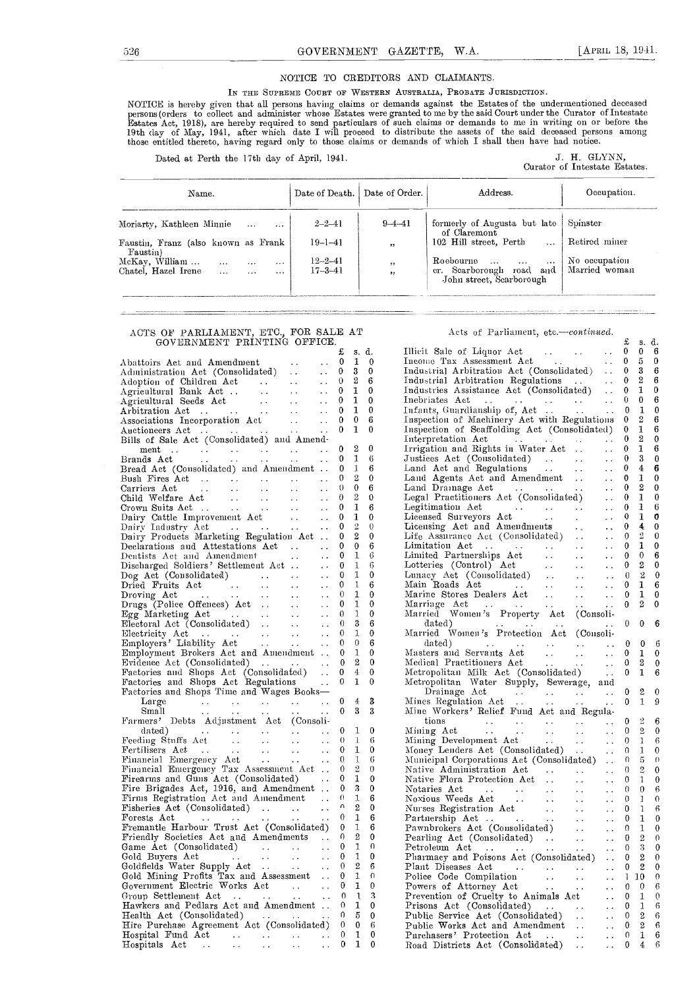#### NOTICE TO CREDITORS AND CLAIMANTS.

IN THE SUPREME COURT OF WESTERN AUSTRALIA, PROBATE JURISDICTION.

NOTICE is hereby given that all persons having claims or demands against the Estatesof the undermentioned deceased<br>persons(orders to collect and administer whose Estates were granted to me by the said Court under the Curat 19th clay of May, 1941, after which date I will proceed to distribute the assets of the said deceased persons among those entitled thereto, having regard only to those claims or demands of which I shall then have had notice.

Dated at Perth the 17th day of April, 1941.

J. H. GLYNN,<br>Curator of Intestate Estates.

| Name.                                                                                                 | Date of Death.                 | Date of Order. | Address.                                                                                                 | Occupation.                    |
|-------------------------------------------------------------------------------------------------------|--------------------------------|----------------|----------------------------------------------------------------------------------------------------------|--------------------------------|
| Moriarty, Kathleen Minnie<br>                                                                         | $2 - 2 - 41$                   | $9 - 4 - 41$   | formerly of Augusta but late<br>of Claremont                                                             | Spinster                       |
| Faustin, Franz (also known as Frank<br>Faustin)                                                       | $19 - 1 - 41$                  | , ,            | 102 Hill street, Perth<br>.                                                                              | Retired miner                  |
| McKay, William<br>.<br>$\cdots$<br>$\cdots$<br>Chatel. Hazel Irene<br>$\cdots$<br>$- - -$<br>$\cdots$ | $12 - 2 - 41$<br>$17 - 3 - 41$ | , ,<br>$, \,$  | Roebourne<br>$\cdots$<br>$\cdots$<br>$\cdots$<br>er. Scarborough road<br>and<br>John street, Searborough | No occupation<br>Married woman |

#### ACTS OF PARLIAMENT, ETC., FOR SALE AT GOVERNMENT PRINTING OFFICE.

|                                                                                                                                                                                                                       | £                | s.               | d.           | Īľ          |
|-----------------------------------------------------------------------------------------------------------------------------------------------------------------------------------------------------------------------|------------------|------------------|--------------|-------------|
| Abattoirs Act and Amendment<br>$\sim$ $\sim$                                                                                                                                                                          | 0                | 1                | 0            | $_{\rm In}$ |
| $\sim$ $\sim$                                                                                                                                                                                                         | 0                | 3                | $\mathbf{0}$ | $_{\rm In}$ |
| $\epsilon$ .                                                                                                                                                                                                          | 0                | $\boldsymbol{2}$ | 6            | In          |
| Adoption of Children Act<br>Agricultural Bank Act<br>Agricultural Seeds Act<br>Arbitration Act<br>$\begin{array}{c}\n\cdot \\ \cdot \\ \cdot \\ \cdot \\ \cdot \\ \cdot \\ \cdot\n\end{array}$<br>$\epsilon$ .        | 0                | 1                | 0            | In          |
| $\ddot{\phantom{0}}$                                                                                                                                                                                                  | 0                | 1                | $\bf{0}$     | $_{\rm In}$ |
| $\sim 100$<br>$\sim$ $\sim$                                                                                                                                                                                           | 0                | 1                | 0            | Iц          |
| Associations Incorporation Act<br>$\sim 100$<br>$\epsilon$ .                                                                                                                                                          | 0                | 0                | 6            | Tп          |
| Auctioneers Act<br>$\mathcal{L}(\mathbf{z},\mathbf{z})$ . The same $\mathcal{L}(\mathbf{z},\mathbf{z})$<br>$\epsilon$ .                                                                                               | 0                | 1                | $\mathbf 0$  | ŢЕ,         |
| Bills of Sale Act (Consolidated) and Amend-                                                                                                                                                                           |                  |                  |              | Īг          |
| $m$ ent<br>المعادل المعادل العاملية.<br>المعادل المعادل المعادل<br>ti<br>Saabada<br>Saabada                                                                                                                           | 0                | 2                | 0            | Ιr          |
| Brands Act<br>$\sim$ $\sim$<br>$\ddot{\phantom{a}}$ .<br>$\sim$ $\sim$<br>$\sim$ $\sim$<br>$\sim$ $\sim$                                                                                                              | 0                | 1                | 6            | Jι          |
| Bread Act (Consolidated) and Amendment                                                                                                                                                                                | 0                | 1                | 6            | L.          |
| $\ddotsc$<br>$\langle\cdot,\cdot\rangle$                                                                                                                                                                              | 0                | 2                | 0            | L.          |
| $\sim$ $\sim$ $\sim$<br>$\ddot{\phantom{1}}$ .                                                                                                                                                                        | $\theta$         | 0                | 6            | L.          |
| $\Delta\Delta\sim 1$<br>$\sim$ $\sim$<br>$\ddot{\phantom{1}}$ .                                                                                                                                                       | 0                | $\overline{2}$   | 0            | L٨          |
| Crown Suits Act<br>$\begin{array}{ccc}\n\vdots & \vdots \\ \vdots & \vdots \\ \vdots & \vdots \\ \vdots & \vdots \\ \end{array}$<br>$\sim 100$<br>$\ddot{\phantom{1}}$ .                                              | 0                | 1                | 6            | L٨          |
| Dairy Cattle Improvement Act<br>Dairy Industry Act<br>2018<br>$\ddot{\phantom{a}}$ .                                                                                                                                  | 0                | 1                | 0            | L.          |
| $\sim$ $\sim$ $\sim$<br>$\ddot{\phantom{1}}$ .                                                                                                                                                                        | 0                | 2                | $\theta$     | Ŀ           |
| Dairy Products Marketing Regulation Act                                                                                                                                                                               | 0                | 2                | 0            | Li          |
| Declarations and Attestations Act                                                                                                                                                                                     | 0                | 0                | 6            | L.          |
| Dentists Act and Amendment<br>$\sim 10$<br>$\sim 10^{-11}$                                                                                                                                                            | 0                | 1                | 6            | IJ          |
| Discharged Soldiers' Settlement Act<br>$\sim$ $\sim$                                                                                                                                                                  | 0                | 1                | 6            | L           |
| Dog Act (Consolidated)<br>$\sim$ .                                                                                                                                                                                    | 0                | 1                | 0            | L١          |
| $\sim$ $\sim$                                                                                                                                                                                                         | 0                | 1                | 6            | Μ           |
| $\sim$ $\sim$                                                                                                                                                                                                         | $\theta$         | 1                | 0<br>0       | Μ           |
| $\sim$ $\sim$                                                                                                                                                                                                         | 0                | 1<br>1           |              | Μ           |
| Egg Marketing Act<br>Egg Marketing Act<br>Electoral Act (Consolidated)<br>$\sim 100$<br>$\ddot{\phantom{1}}$ .                                                                                                        | 0                | 3                | 0            | М           |
| $\sim 10^{-1}$<br>$\ddot{\phantom{0}}$ .                                                                                                                                                                              | 0                |                  | 6            |             |
| Electricity Act<br>$\det$ $\begin{array}{ccc} \cdots & \cdots & \cdots \\ \cdots & \cdots & \cdots \end{array}$<br>$\ddot{\phantom{0}}$                                                                               | 0                | 1                | 0            | М           |
| Employers' Liability Act<br>Employment Brokers Act and Amendment                                                                                                                                                      | 0                | 0<br>1           | 6<br>0       | М           |
|                                                                                                                                                                                                                       | 0                | 2                | 0            |             |
| $\begin{minipage}{.4\linewidth} \textbf{Evidence} & \textbf{Act} & \textbf{(Consolidated)} & \dots \end{minipage}$<br>$\ddot{\phantom{a}}$ .<br>Evidence Act (Consolidated)<br>Factories and Shops Act (Consolidated) | 0                | 4                | 0            | Μ<br>М      |
| $\epsilon$ .                                                                                                                                                                                                          | 0<br>0           | 1                | 0            | М           |
| Factories and Shops Act Regulations                                                                                                                                                                                   |                  |                  |              |             |
| Factories and Shops Time and Wages Books-                                                                                                                                                                             | 0                | $\overline{4}$   | 3            | Μ           |
| Large<br>$\frac{1}{2}$<br>$\sim 10^{-1}$<br>$\frac{1}{2} \frac{1}{2} \frac{1}{2} \frac{1}{2} \frac{1}{2} \frac{1}{2} \frac{1}{2} \frac{1}{2}$<br>$\sim$ $\sim$<br>Small<br>. .                                        | 0                | 3                | 3            | Μ           |
| $\sim$ $\sim$<br>Farmers' Debts Adjustment Act (Consoli-                                                                                                                                                              |                  |                  |              |             |
| Farmers Devis August 1997<br>$\ddot{\phantom{1}}$ .                                                                                                                                                                   | 0                | 1                | 0            | м           |
| $\sim$ $\sim$                                                                                                                                                                                                         | 0                | 1                | 6            | М           |
| $\ddot{\phantom{0}}$                                                                                                                                                                                                  | 0                | 1                | 0            | М           |
|                                                                                                                                                                                                                       | 0                | 1                | 6            | М           |
|                                                                                                                                                                                                                       | 0                | 2                | 0            | N           |
|                                                                                                                                                                                                                       | 0                | 1                | 0            | N           |
| Firearms and Guns Act (Consolidated)<br>Fire Brigades Act, 1916, and Amendment                                                                                                                                        | 0                | 3                | 0            | Ν           |
| Firms Registration Act and Amendment                                                                                                                                                                                  | $\theta$         | ı                | 6            | Ν           |
| Fisheries Act (Consolidated)<br>$\sim$ $\sim$                                                                                                                                                                         | n                | 2                | 0            | N           |
| Forests Act                                                                                                                                                                                                           | $\boldsymbol{0}$ | 1                | 6            | Ρ           |
| Fremantle Harbour Trust Act (Consolidated)                                                                                                                                                                            | 0                | 1                | 6            | Ρ           |
| Friendly Societies Act and Amendments                                                                                                                                                                                 | 0                | $\overline{2}$   | 0            | P           |
| Game Act (Consolidated)<br>$\sim 10^{-10}$<br>$\ddot{\phantom{1}}$                                                                                                                                                    | 0                | 1                | U            | Ρ           |
| Gold Buyers Act<br>$\sim$ $\sim$                                                                                                                                                                                      | 0                | 1                | 0            | Ρ           |
| $\rightarrow$ $\rightarrow$                                                                                                                                                                                           | $\theta$         | $\overline{2}$   | 6            | Ρ           |
|                                                                                                                                                                                                                       | 0                | 1                | $\Omega$     | Ρ           |
| Gold Mining Profits Tax and Assessment<br>Government Electric Works Act<br>Group Settlement Act<br>Hawkers and Pedlars Act and Amendment                                                                              | 0                | 1                | 0            | Ρ           |
|                                                                                                                                                                                                                       | $\Omega$         | ι                | 3            | Ρ           |
|                                                                                                                                                                                                                       | 0                | 1                | 0            | Ρ           |
| Health Act (Consolidated)                                                                                                                                                                                             | 0                | 5                | 0            | Ρ           |
| Hire Purchase Agreement Act (Consolidated)                                                                                                                                                                            | 0                | 0                | 6            | Ρ           |
| Hospital Fund Act<br>$\sim$ $\sim$<br>$\sim$ $\sim$                                                                                                                                                                   | $\sim 0$         | 1                | 0            | Ρ           |
| <b>Contract Contract</b>                                                                                                                                                                                              | $\bf{0}$         | 1                | 0            | $_{\rm R}$  |

Acts of Parliament, etc.-continued.

|                                                                                                                                                                                                                                                                                                                                                                                                                      | £              |                  | s. d.        |
|----------------------------------------------------------------------------------------------------------------------------------------------------------------------------------------------------------------------------------------------------------------------------------------------------------------------------------------------------------------------------------------------------------------------|----------------|------------------|--------------|
| Illicit Sale of Liquor Act                                                                                                                                                                                                                                                                                                                                                                                           | 0              | 0                | 6            |
| Illicit Sale of Liquor Act<br>Income Tax Assessment Act<br>$\sim 100$                                                                                                                                                                                                                                                                                                                                                |                | $0\quad 5$       | $\mathbf{0}$ |
|                                                                                                                                                                                                                                                                                                                                                                                                                      |                | 0 <sub>3</sub>   | 6            |
| Industrial Arbitration Act (Consolidated)<br>Industrial Arbitration Regulations<br>Industrial Arbitration Regulations<br>Industries Assistance Act (Consolidated)<br>Infants, Guardianship of, Act<br>Infants, Guardianship of, Act                                                                                                                                                                                  | $\mathbf{0}$   | 2                | 6            |
|                                                                                                                                                                                                                                                                                                                                                                                                                      | $0\quad 1$     |                  | 0            |
|                                                                                                                                                                                                                                                                                                                                                                                                                      |                | $0 \quad 0$      | 6            |
|                                                                                                                                                                                                                                                                                                                                                                                                                      | $\overline{0}$ | $\mathbf{1}$     | $\bf{0}$     |
| Inspection of Machinery Act with Regulations                                                                                                                                                                                                                                                                                                                                                                         | $\mathbf{0}$   | 2                | 6            |
| Inspection of Scaffolding Act (Consolidated)                                                                                                                                                                                                                                                                                                                                                                         | $\mathbf{0}$   | 1                | 6            |
| Interpretation Act                                                                                                                                                                                                                                                                                                                                                                                                   | $\mathbf{0}$   | $\boldsymbol{2}$ | $\bf{0}$     |
| Interpretation Act<br>Irrigation and Rights in Water Act                                                                                                                                                                                                                                                                                                                                                             | $\mathbf{0}$   | $\mathbf{1}$     | 6            |
| $\frac{1}{2} \frac{1}{2}$ .                                                                                                                                                                                                                                                                                                                                                                                          |                |                  |              |
|                                                                                                                                                                                                                                                                                                                                                                                                                      |                |                  |              |
|                                                                                                                                                                                                                                                                                                                                                                                                                      |                |                  |              |
|                                                                                                                                                                                                                                                                                                                                                                                                                      |                |                  |              |
|                                                                                                                                                                                                                                                                                                                                                                                                                      |                |                  |              |
|                                                                                                                                                                                                                                                                                                                                                                                                                      |                |                  |              |
|                                                                                                                                                                                                                                                                                                                                                                                                                      |                |                  |              |
|                                                                                                                                                                                                                                                                                                                                                                                                                      |                |                  |              |
|                                                                                                                                                                                                                                                                                                                                                                                                                      |                |                  |              |
|                                                                                                                                                                                                                                                                                                                                                                                                                      |                |                  |              |
|                                                                                                                                                                                                                                                                                                                                                                                                                      |                |                  |              |
|                                                                                                                                                                                                                                                                                                                                                                                                                      |                |                  |              |
|                                                                                                                                                                                                                                                                                                                                                                                                                      |                |                  |              |
|                                                                                                                                                                                                                                                                                                                                                                                                                      |                |                  |              |
|                                                                                                                                                                                                                                                                                                                                                                                                                      |                |                  |              |
|                                                                                                                                                                                                                                                                                                                                                                                                                      |                |                  |              |
|                                                                                                                                                                                                                                                                                                                                                                                                                      |                |                  |              |
|                                                                                                                                                                                                                                                                                                                                                                                                                      |                |                  |              |
|                                                                                                                                                                                                                                                                                                                                                                                                                      |                |                  |              |
|                                                                                                                                                                                                                                                                                                                                                                                                                      |                |                  |              |
|                                                                                                                                                                                                                                                                                                                                                                                                                      |                |                  |              |
| Impaction and Rights in Water Act 0 1 6<br>Justices Act (Consolidated) 0 3 0<br>Land Act and Regulations 0 4 6<br>Land Agents Act and Amendment 0 1 0<br>Legal Practitioners Act (Consoli<br>dated)<br>Masters and Servants Act<br>Medical Practitioners Act<br>Medical Practitioners Act<br>Metropolitan Milk Act (Consolidated)<br>Metropolitan Water Supply, Sewerage, and<br>Trainan Mater Supply, Sewerage, and | 0              | $\bf{0}$         | 6            |
|                                                                                                                                                                                                                                                                                                                                                                                                                      | $\mathbf{0}$   | $\mathbf{1}$     | $\theta$     |
|                                                                                                                                                                                                                                                                                                                                                                                                                      | $\mathbf{0}$   | $\boldsymbol{2}$ | 0            |
|                                                                                                                                                                                                                                                                                                                                                                                                                      |                | 0 <sub>1</sub>   | 6            |
|                                                                                                                                                                                                                                                                                                                                                                                                                      |                |                  |              |
| Drainage Act                                                                                                                                                                                                                                                                                                                                                                                                         | $\mathbf{0}$   | $\boldsymbol{2}$ | 0            |
| Drainage Act $\cdots$ $\cdots$ $\cdots$ $\cdots$ $\cdots$ $\cdots$ $\cdots$ $\cdots$ $\cdots$ $\cdots$ $\cdots$ $\cdots$ $\cdots$ $\cdots$ $\cdots$ $\cdots$ $\cdots$ $\cdots$ $\cdots$ $\cdots$ $\cdots$ $\cdots$ $\cdots$ $\cdots$ $\cdots$ $\cdots$ $\cdots$ $\cdots$ $\cdots$ $\cdots$ $\cdots$ $\cdots$ $\cdots$ $\cdots$ $\cdots$                                                                              | $\mathbf{0}$   | $\mathbf 1$      | 9            |
| Mine Workers' Relief Fund Act and Regula-                                                                                                                                                                                                                                                                                                                                                                            |                |                  |              |
|                                                                                                                                                                                                                                                                                                                                                                                                                      | $\mathbf{0}$   | $\overline{2}$   | 6            |
|                                                                                                                                                                                                                                                                                                                                                                                                                      |                | $0 \quad 2$      | 0            |
|                                                                                                                                                                                                                                                                                                                                                                                                                      |                |                  |              |
|                                                                                                                                                                                                                                                                                                                                                                                                                      |                |                  |              |
|                                                                                                                                                                                                                                                                                                                                                                                                                      |                |                  |              |
|                                                                                                                                                                                                                                                                                                                                                                                                                      |                |                  |              |
|                                                                                                                                                                                                                                                                                                                                                                                                                      |                |                  |              |
|                                                                                                                                                                                                                                                                                                                                                                                                                      |                |                  |              |
|                                                                                                                                                                                                                                                                                                                                                                                                                      |                |                  |              |
|                                                                                                                                                                                                                                                                                                                                                                                                                      |                |                  |              |
|                                                                                                                                                                                                                                                                                                                                                                                                                      |                |                  |              |
|                                                                                                                                                                                                                                                                                                                                                                                                                      |                |                  |              |
|                                                                                                                                                                                                                                                                                                                                                                                                                      |                |                  |              |
|                                                                                                                                                                                                                                                                                                                                                                                                                      |                |                  |              |
|                                                                                                                                                                                                                                                                                                                                                                                                                      |                |                  |              |
|                                                                                                                                                                                                                                                                                                                                                                                                                      |                |                  |              |
|                                                                                                                                                                                                                                                                                                                                                                                                                      |                |                  |              |
|                                                                                                                                                                                                                                                                                                                                                                                                                      |                |                  |              |
|                                                                                                                                                                                                                                                                                                                                                                                                                      |                |                  |              |
|                                                                                                                                                                                                                                                                                                                                                                                                                      |                |                  |              |
|                                                                                                                                                                                                                                                                                                                                                                                                                      |                |                  |              |
|                                                                                                                                                                                                                                                                                                                                                                                                                      |                |                  |              |
|                                                                                                                                                                                                                                                                                                                                                                                                                      |                |                  |              |
|                                                                                                                                                                                                                                                                                                                                                                                                                      |                |                  |              |
|                                                                                                                                                                                                                                                                                                                                                                                                                      |                |                  |              |
|                                                                                                                                                                                                                                                                                                                                                                                                                      |                |                  |              |
|                                                                                                                                                                                                                                                                                                                                                                                                                      |                |                  |              |